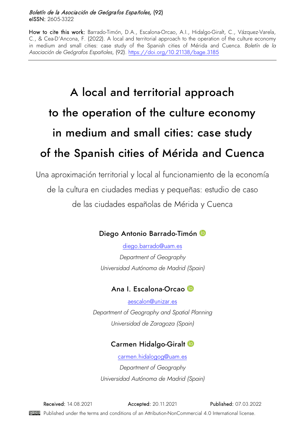#### Boletín de la Asociación de Geógrafos Españoles, (92) eISSN: 2605-3322

How to cite this work: Barrado-Timón, D.A., Escalona-Orcao, A.I., Hidalgo-Giralt, C., Vázquez-Varela, C., & Cea-D'Ancona, F. (2022). A local and territorial approach to the operation of the culture economy in medium and small cities: case study of the Spanish cities of Mérida and Cuenca. *Boletín de la Asociación de Geógrafos Españoles,* (92).<https://doi.org/10.21138/bage.3185>

# A local and territorial approach to the operation of the culture economy in medium and small cities: case study of the Spanish cities of Mérida and Cuenca

Una aproximación territorial y local al funcionamiento de la economía de la cultura en ciudades medias y pequeñas: estudio de caso de las ciudades españolas de Mérida y Cuenca

# Diego Antonio Barrado-Timón

[diego.barrado@uam.es](mailto:diego.barrado@uam.es)  *Department of Geography Universidad Autónoma de Madrid (Spain)*

# Ana I. Escalona-Orcao **D**

aescalon@unizar.es *Department of Geography and Spatial Planning Universidad de Zaragoza (Spain)*

# CarmenHidalgo-Giralt<sup>®</sup>

[carmen.hidalogog@uam.es](mailto:carmen.hidalogog@uam.es)  *Department of Geography Universidad Autónoma de Madrid (Spain)*

Received: 14.08.2021 Accepted: 20.11.2021 Published: 07.03.2022

Published under the terms and conditions of an Attribution-NonCommercial 4.0 International license.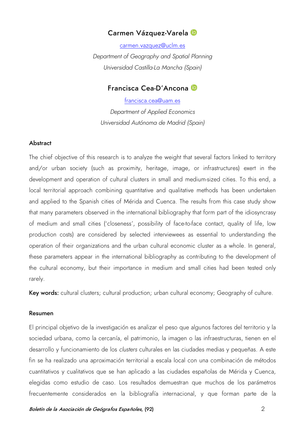#### Carmen Vázquez-Varela

[carmen.vazquez@uclm.es](mailto:carmen.vazquez@uclm.es)  *Department of Geography and Spatial Planning Universidad Castilla-La Mancha (Spain)*

#### Francisca Cea-D'Ancona

francisca.cea@uam.es *Department of Applied Economics Universidad Autónoma de Madrid (Spain)*

#### **Abstract**

The chief objective of this research is to analyze the weight that several factors linked to territory and/or urban society (such as proximity, heritage, image, or infrastructures) exert in the development and operation of cultural clusters in small and medium-sized cities. To this end, a local territorial approach combining quantitative and qualitative methods has been undertaken and applied to the Spanish cities of Mérida and Cuenca. The results from this case study show that many parameters observed in the international bibliography that form part of the idiosyncrasy of medium and small cities ('closeness', possibility of face-to-face contact, quality of life, low production costs) are considered by selected interviewees as essential to understanding the operation of their organizations and the urban cultural economic cluster as a whole. In general, these parameters appear in the international bibliography as contributing to the development of the cultural economy, but their importance in medium and small cities had been tested only rarely.

Key words: cultural clusters; cultural production; urban cultural economy; Geography of culture.

#### Resumen

El principal objetivo de la investigación es analizar el peso que algunos factores del territorio y la sociedad urbana, como la cercanía, el patrimonio, la imagen o las infraestructuras, tienen en el desarrollo y funcionamiento de los *clusters* culturales en las ciudades medias y pequeñas. A este fin se ha realizado una aproximación territorial a escala local con una combinación de métodos cuantitativos y cualitativos que se han aplicado a las ciudades españolas de Mérida y Cuenca, elegidas como estudio de caso. Los resultados demuestran que muchos de los parámetros frecuentemente considerados en la bibliografía internacional, y que forman parte de la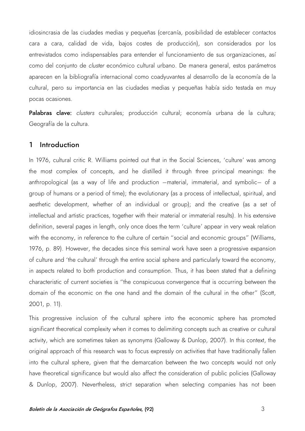idiosincrasia de las ciudades medias y pequeñas (cercanía, posibilidad de establecer contactos cara a cara, calidad de vida, bajos costes de producción), son considerados por los entrevistados como indispensables para entender el funcionamiento de sus organizaciones, así como del conjunto de *cluster* económico cultural urbano. De manera general, estos parámetros aparecen en la bibliografía internacional como coadyuvantes al desarrollo de la economía de la cultural, pero su importancia en las ciudades medias y pequeñas había sido testada en muy pocas ocasiones.

Palabras clave: *clusters* culturales; producción cultural; economía urbana de la cultura; Geografía de la cultura.

#### 1 Introduction

In 1976, cultural critic R. Williams pointed out that in the Social Sciences, 'culture' was among the most complex of concepts, and he distilled it through three principal meanings: the anthropological (as a way of life and production –material, immaterial, and symbolic– of a group of humans or a period of time); the evolutionary (as a process of intellectual, spiritual, and aesthetic development, whether of an individual or group); and the creative (as a set of intellectual and artistic practices, together with their material or immaterial results). In his extensive definition, several pages in length, only once does the term 'culture' appear in very weak relation with the economy, in reference to the culture of certain "social and economic groups" (Williams, 1976, p. 89). However, the decades since this seminal work have seen a progressive expansion of culture and 'the cultural' through the entire social sphere and particularly toward the economy, in aspects related to both production and consumption. Thus, it has been stated that a defining characteristic of current societies is "the conspicuous convergence that is occurring between the domain of the economic on the one hand and the domain of the cultural in the other" (Scott, 2001, p. 11).

This progressive inclusion of the cultural sphere into the economic sphere has promoted significant theoretical complexity when it comes to delimiting concepts such as creative or cultural activity, which are sometimes taken as synonyms (Galloway & Dunlop, 2007). In this context, the original approach of this research was to focus expressly on activities that have traditionally fallen into the cultural sphere, given that the demarcation between the two concepts would not only have theoretical significance but would also affect the consideration of public policies (Galloway & Dunlop, 2007). Nevertheless, strict separation when selecting companies has not been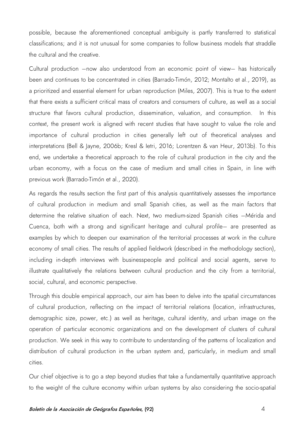possible, because the aforementioned conceptual ambiguity is partly transferred to statistical classifications; and it is not unusual for some companies to follow business models that straddle the cultural and the creative.

Cultural production –now also understood from an economic point of view– has historically been and continues to be concentrated in cities (Barrado-Timón, 2012; Montalto et al., 2019), as a prioritized and essential element for urban reproduction (Miles, 2007). This is true to the extent that there exists a sufficient critical mass of creators and consumers of culture, as well as a social structure that favors cultural production, dissemination, valuation, and consumption. In this context, the present work is aligned with recent studies that have sought to value the role and importance of cultural production in cities generally left out of theoretical analyses and interpretations (Bell & Jayne, 2006b; Kresl & Ietri, 2016; Lorentzen & van Heur, 2013b). To this end, we undertake a theoretical approach to the role of cultural production in the city and the urban economy, with a focus on the case of medium and small cities in Spain, in line with previous work (Barrado-Timón et al., 2020).

As regards the results section the first part of this analysis quantitatively assesses the importance of cultural production in medium and small Spanish cities, as well as the main factors that determine the relative situation of each. Next, two medium-sized Spanish cities –Mérida and Cuenca, both with a strong and significant heritage and cultural profile– are presented as examples by which to deepen our examination of the territorial processes at work in the culture economy of small cities. The results of applied fieldwork (described in the methodology section), including in-depth interviews with businesspeople and political and social agents, serve to illustrate qualitatively the relations between cultural production and the city from a territorial, social, cultural, and economic perspective.

Through this double empirical approach, our aim has been to delve into the spatial circumstances of cultural production, reflecting on the impact of territorial relations (location, infrastructures, demographic size, power, etc.) as well as heritage, cultural identity, and urban image on the operation of particular economic organizations and on the development of clusters of cultural production. We seek in this way to contribute to understanding of the patterns of localization and distribution of cultural production in the urban system and, particularly, in medium and small cities.

Our chief objective is to go a step beyond studies that take a fundamentally quantitative approach to the weight of the culture economy within urban systems by also considering the socio-spatial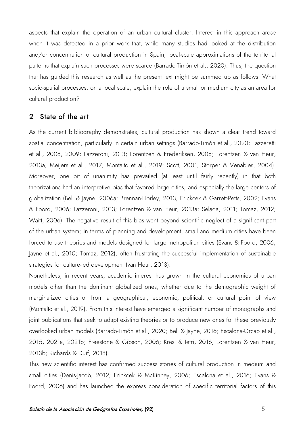aspects that explain the operation of an urban cultural cluster. Interest in this approach arose when it was detected in a prior work that, while many studies had looked at the distribution and/or concentration of cultural production in Spain, local-scale approximations of the territorial patterns that explain such processes were scarce (Barrado-Timón et al., 2020). Thus, the question that has guided this research as well as the present text might be summed up as follows: What socio-spatial processes, on a local scale, explain the role of a small or medium city as an area for cultural production?

#### 2 State of the art

As the current bibliography demonstrates, cultural production has shown a clear trend toward spatial concentration, particularly in certain urban settings (Barrado-Timón et al., 2020; Lazzeretti et al., 2008, 2009; Lazzeroni, 2013; Lorentzen & Frederiksen, 2008; Lorentzen & van Heur, 2013a; Meijers et al., 2017; Montalto et al., 2019; Scott, 2001; Storper & Venables, 2004). Moreover, one bit of unanimity has prevailed (at least until fairly recently) in that both theorizations had an interpretive bias that favored large cities, and especially the large centers of globalization (Bell & Jayne, 2006a; Brennan-Horley, 2013; Erickcek & Garrett-Petts, 2002; Evans & Foord, 2006; Lazzeroni, 2013; Lorentzen & van Heur, 2013a; Selada, 2011; Tomaz, 2012; Waitt, 2006). The negative result of this bias went beyond scientific neglect of a significant part of the urban system; in terms of planning and development, small and medium cities have been forced to use theories and models designed for large metropolitan cities (Evans & Foord, 2006; Jayne et al., 2010; Tomaz, 2012), often frustrating the successful implementation of sustainable strategies for culture-led development (van Heur, 2013).

Nonetheless, in recent years, academic interest has grown in the cultural economies of urban models other than the dominant globalized ones, whether due to the demographic weight of marginalized cities or from a geographical, economic, political, or cultural point of view (Montalto et al., 2019). From this interest have emerged a significant number of monographs and joint publications that seek to adapt existing theories or to produce new ones for these previously overlooked urban models (Barrado-Timón et al., 2020; Bell & Jayne, 2016; Escalona-Orcao et al., 2015, 2021a, 2021b; Freestone & Gibson, 2006; Kresl & Ietri, 2016; Lorentzen & van Heur, 2013b; Richards & Duif, 2018).

This new scientific interest has confirmed success stories of cultural production in medium and small cities (Denis-Jacob, 2012; Erickcek & McKinney, 2006; Escalona et al., 2016; Evans & Foord, 2006) and has launched the express consideration of specific territorial factors of this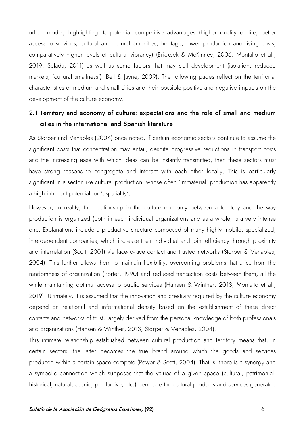urban model, highlighting its potential competitive advantages (higher quality of life, better access to services, cultural and natural amenities, heritage, lower production and living costs, comparatively higher levels of cultural vibrancy) (Erickcek & McKinney, 2006; Montalto et al., 2019; Selada, 2011) as well as some factors that may stall development (isolation, reduced markets, 'cultural smallness') (Bell & Jayne, 2009). The following pages reflect on the territorial characteristics of medium and small cities and their possible positive and negative impacts on the development of the culture economy.

# 2.1 Territory and economy of culture: expectations and the role of small and medium cities in the international and Spanish literature

As Storper and Venables (2004) once noted, if certain economic sectors continue to assume the significant costs that concentration may entail, despite progressive reductions in transport costs and the increasing ease with which ideas can be instantly transmitted, then these sectors must have strong reasons to congregate and interact with each other locally. This is particularly significant in a sector like cultural production, whose often 'immaterial' production has apparently a high inherent potential for 'aspatiality'.

However, in reality, the relationship in the culture economy between a territory and the way production is organized (both in each individual organizations and as a whole) is a very intense one. Explanations include a productive structure composed of many highly mobile, specialized, interdependent companies, which increase their individual and joint efficiency through proximity and interrelation (Scott, 2001) via face-to-face contact and trusted networks (Storper & Venables, 2004). This further allows them to maintain flexibility, overcoming problems that arise from the randomness of organization (Porter, 1990) and reduced transaction costs between them, all the while maintaining optimal access to public services (Hansen & Winther, 2013; Montalto et al., 2019). Ultimately, it is assumed that the innovation and creativity required by the culture economy depend on relational and informational density based on the establishment of these direct contacts and networks of trust, largely derived from the personal knowledge of both professionals and organizations (Hansen & Winther, 2013; Storper & Venables, 2004).

This intimate relationship established between cultural production and territory means that, in certain sectors, the latter becomes the true brand around which the goods and services produced within a certain space compete (Power & Scott, 2004). That is, there is a synergy and a symbolic connection which supposes that the values of a given space (cultural, patrimonial, historical, natural, scenic, productive, etc.) permeate the cultural products and services generated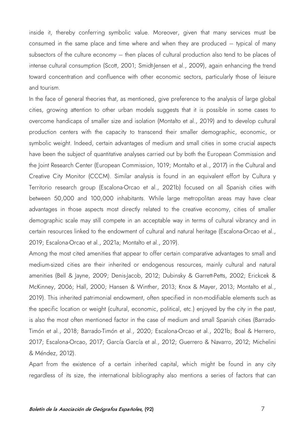inside it, thereby conferring symbolic value. Moreover, given that many services must be consumed in the same place and time where and when they are produced – typical of many subsectors of the culture economy – then places of cultural production also tend to be places of intense cultural consumption (Scott, 2001; Smidt-Jensen et al., 2009), again enhancing the trend toward concentration and confluence with other economic sectors, particularly those of leisure and tourism.

In the face of general theories that, as mentioned, give preference to the analysis of large global cities, growing attention to other urban models suggests that it is possible in some cases to overcome handicaps of smaller size and isolation (Montalto et al., 2019) and to develop cultural production centers with the capacity to transcend their smaller demographic, economic, or symbolic weight. Indeed, certain advantages of medium and small cities in some crucial aspects have been the subject of quantitative analyses carried out by both the European Commission and the Joint Research Center (European Commission, 1019; Montalto et al., 2017) in the Cultural and Creative City Monitor (CCCM). Similar analysis is found in an equivalent effort by Cultura y Territorio research group (Escalona-Orcao et al., 2021b) focused on all Spanish cities with between 50,000 and 100,000 inhabitants. While large metropolitan areas may have clear advantages in those aspects most directly related to the creative economy, cities of smaller demographic scale may still compete in an acceptable way in terms of cultural vibrancy and in certain resources linked to the endowment of cultural and natural heritage (Escalona-Orcao et al., 2019; Escalona-Orcao et al., 2021a; Montalto et al., 2019).

Among the most cited amenities that appear to offer certain comparative advantages to small and medium-sized cities are their inherited or endogenous resources, mainly cultural and natural amenities (Bell & Jayne, 2009; Denis-Jacob, 2012; Dubinsky & Garrett-Petts, 2002; Erickcek & McKinney, 2006; Hall, 2000; Hansen & Winther, 2013; Knox & Mayer, 2013; Montalto et al., 2019). This inherited patrimonial endowment, often specified in non-modifiable elements such as the specific location or weight (cultural, economic, political, etc.) enjoyed by the city in the past, is also the most often mentioned factor in the case of medium and small Spanish cities (Barrado-Timón et al., 2018; Barrado-Timón et al., 2020; Escalona-Orcao et al., 2021b; Boal & Herrero, 2017; Escalona-Orcao, 2017; García García et al., 2012; Guerrero & Navarro, 2012; Michelini & Méndez, 2012).

Apart from the existence of a certain inherited capital, which might be found in any city regardless of its size, the international bibliography also mentions a series of factors that can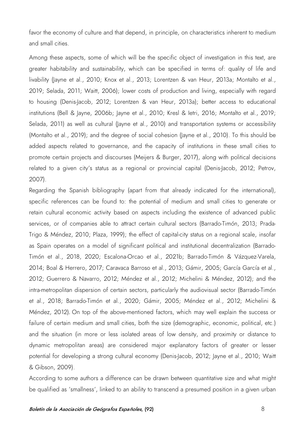favor the economy of culture and that depend, in principle, on characteristics inherent to medium and small cities.

Among these aspects, some of which will be the specific object of investigation in this text, are greater habitability and sustainability, which can be specified in terms of: quality of life and livability (layne et al., 2010; Knox et al., 2013; Lorentzen & van Heur, 2013a; Montalto et al., 2019; Selada, 2011; Waitt, 2006); lower costs of production and living, especially with regard to housing (Denis-Jacob, 2012; Lorentzen & van Heur, 2013a); better access to educational institutions (Bell & Jayne, 2006b; Jayne et al., 2010; Kresl & Ietri, 2016; Montalto et al., 2019; Selada, 2011) as well as cultural (layne et al., 2010) and transportation systems or accessibility (Montalto et al., 2019); and the degree of social cohesion (Jayne et al., 2010). To this should be added aspects related to governance, and the capacity of institutions in these small cities to promote certain projects and discourses (Meijers & Burger, 2017), along with political decisions related to a given city's status as a regional or provincial capital (Denis-Jacob, 2012; Petrov, 2007).

Regarding the Spanish bibliography (apart from that already indicated for the international), specific references can be found to: the potential of medium and small cities to generate or retain cultural economic activity based on aspects including the existence of advanced public services, or of companies able to attract certain cultural sectors (Barrado-Timón, 2013; Prada-Trigo & Méndez, 2010; Plaza, 1999); the effect of capital-city status on a regional scale, insofar as Spain operates on a model of significant political and institutional decentralization (Barrado-Timón et al., 2018, 2020; Escalona-Orcao et al., 2021b; Barrado-Timón & Vázquez-Varela, 2014; Boal & Herrero, 2017; Caravaca Barroso et al., 2013; Gámir, 2005; García García et al., 2012; Guerrero & Navarro, 2012; Méndez et al., 2012; Michelini & Méndez, 2012); and the intra-metropolitan dispersion of certain sectors, particularly the audiovisual sector (Barrado-Timón et al., 2018; Barrado-Timón et al., 2020; Gámir, 2005; Méndez et al., 2012; Michelini & Méndez, 2012). On top of the above-mentioned factors, which may well explain the success or failure of certain medium and small cities, both the size (demographic, economic, political, etc.) and the situation (in more or less isolated areas of low density, and proximity or distance to dynamic metropolitan areas) are considered major explanatory factors of greater or lesser potential for developing a strong cultural economy (Denis-Jacob, 2012; Jayne et al., 2010; Waitt & Gibson, 2009).

According to some authors a difference can be drawn between quantitative size and what might be qualified as 'smallness', linked to an ability to transcend a presumed position in a given urban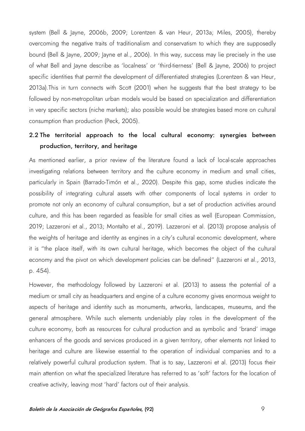system (Bell & Jayne, 2006b, 2009; Lorentzen & van Heur, 2013a; Miles, 2005), thereby overcoming the negative traits of traditionalism and conservatism to which they are supposedly bound (Bell & Jayne, 2009; Jayne et al., 2006). In this way, success may lie precisely in the use of what Bell and Jayne describe as 'localness' or 'third-tierness' (Bell & Jayne, 2006) to project specific identities that permit the development of differentiated strategies (Lorentzen & van Heur, 2013a).This in turn connects with Scott (2001) when he suggests that the best strategy to be followed by non-metropolitan urban models would be based on specialization and differentiation in very specific sectors (niche markets); also possible would be strategies based more on cultural consumption than production (Peck, 2005).

# 2.2 The territorial approach to the local cultural economy: synergies between production, territory, and heritage

As mentioned earlier, a prior review of the literature found a lack of local-scale approaches investigating relations between territory and the culture economy in medium and small cities, particularly in Spain (Barrado-Timón et al., 2020). Despite this gap, some studies indicate the possibility of integrating cultural assets with other components of local systems in order to promote not only an economy of cultural consumption, but a set of production activities around culture, and this has been regarded as feasible for small cities as well (European Commission, 2019; Lazzeroni et al., 2013; Montalto et al., 2019). Lazzeroni et al. (2013) propose analysis of the weights of heritage and identity as engines in a city's cultural economic development, where it is "the place itself, with its own cultural heritage, which becomes the object of the cultural economy and the pivot on which development policies can be defined" (Lazzeroni et al., 2013, p. 454).

However, the methodology followed by Lazzeroni et al. (2013) to assess the potential of a medium or small city as headquarters and engine of a culture economy gives enormous weight to aspects of heritage and identity such as monuments, artworks, landscapes, museums, and the general atmosphere. While such elements undeniably play roles in the development of the culture economy, both as resources for cultural production and as symbolic and 'brand' image enhancers of the goods and services produced in a given territory, other elements not linked to heritage and culture are likewise essential to the operation of individual companies and to a relatively powerful cultural production system. That is to say, Lazzeroni et al. (2013) focus their main attention on what the specialized literature has referred to as 'soft' factors for the location of creative activity, leaving most 'hard' factors out of their analysis.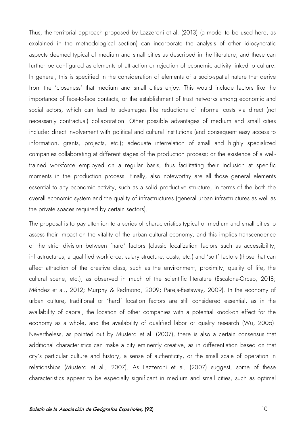Thus, the territorial approach proposed by Lazzeroni et al. (2013) (a model to be used here, as explained in the methodological section) can incorporate the analysis of other idiosyncratic aspects deemed typical of medium and small cities as described in the literature, and these can further be configured as elements of attraction or rejection of economic activity linked to culture. In general, this is specified in the consideration of elements of a socio-spatial nature that derive from the 'closeness' that medium and small cities enjoy. This would include factors like the importance of face-to-face contacts, or the establishment of trust networks among economic and social actors, which can lead to advantages like reductions of informal costs via direct (not necessarily contractual) collaboration. Other possible advantages of medium and small cities include: direct involvement with political and cultural institutions (and consequent easy access to information, grants, projects, etc.); adequate interrelation of small and highly specialized companies collaborating at different stages of the production process; or the existence of a welltrained workforce employed on a regular basis, thus facilitating their inclusion at specific moments in the production process. Finally, also noteworthy are all those general elements essential to any economic activity, such as a solid productive structure, in terms of the both the overall economic system and the quality of infrastructures (general urban infrastructures as well as the private spaces required by certain sectors).

The proposal is to pay attention to a series of characteristics typical of medium and small cities to assess their impact on the vitality of the urban cultural economy, and this implies transcendence of the strict division between 'hard' factors (classic localization factors such as accessibility, infrastructures, a qualified workforce, salary structure, costs, etc.) and 'soft' factors (those that can affect attraction of the creative class, such as the environment, proximity, quality of life, the cultural scene, etc.), as observed in much of the scientific literature (Escalona-Orcao, 2018; Méndez et al., 2012; Murphy & Redmond, 2009; Pareja-Eastaway, 2009). In the economy of urban culture, traditional or 'hard' location factors are still considered essential, as in the availability of capital, the location of other companies with a potential knock-on effect for the economy as a whole, and the availability of qualified labor or quality research (Wu, 2005). Nevertheless, as pointed out by Musterd et al. (2007), there is also a certain consensus that additional characteristics can make a city eminently creative, as in differentiation based on that city's particular culture and history, a sense of authenticity, or the small scale of operation in relationships (Musterd et al., 2007). As Lazzeroni et al. (2007) suggest, some of these characteristics appear to be especially significant in medium and small cities, such as optimal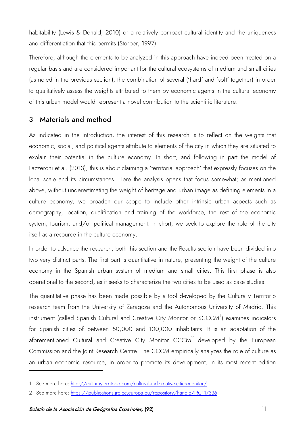habitability (Lewis & Donald, 2010) or a relatively compact cultural identity and the uniqueness and differentiation that this permits (Storper, 1997).

Therefore, although the elements to be analyzed in this approach have indeed been treated on a regular basis and are considered important for the cultural ecosystems of medium and small cities (as noted in the previous section), the combination of several ('hard' and 'soft' together) in order to qualitatively assess the weights attributed to them by economic agents in the cultural economy of this urban model would represent a novel contribution to the scientific literature.

## 3 Materials and method

As indicated in the Introduction, the interest of this research is to reflect on the weights that economic, social, and political agents attribute to elements of the city in which they are situated to explain their potential in the culture economy. In short, and following in part the model of Lazzeroni et al. (2013), this is about claiming a 'territorial approach' that expressly focuses on the local scale and its circumstances. Here the analysis opens that focus somewhat; as mentioned above, without underestimating the weight of heritage and urban image as defining elements in a culture economy, we broaden our scope to include other intrinsic urban aspects such as demography, location, qualification and training of the workforce, the rest of the economic system, tourism, and/or political management. In short, we seek to explore the role of the city itself as a resource in the culture economy.

In order to advance the research, both this section and the Results section have been divided into two very distinct parts. The first part is quantitative in nature, presenting the weight of the culture economy in the Spanish urban system of medium and small cities. This first phase is also operational to the second, as it seeks to characterize the two cities to be used as case studies.

The quantitative phase has been made possible by a tool developed by the Cultura y Territorio research team from the University of Zaragoza and the Autonomous University of Madrid. This instrument (called Spanish Cultural and Creative City Monitor or SCCCM $^1$  $^1$ ) examines indicators for Spanish cities of between 50,000 and 100,000 inhabitants. It is an adaptation of the aforementioned Cultural and Creative City Monitor CCCM<sup>[2](#page-10-1)</sup> developed by the European Commission and the Joint Research Centre. The CCCM empirically analyzes the role of culture as an urban economic resource, in order to promote its development. In its most recent edition

<span id="page-10-0"></span><sup>1</sup> See more here:<http://culturayterritorio.com/cultural-and-creative-cities-monitor/>

<span id="page-10-1"></span><sup>2</sup> See more here:<https://publications.jrc.ec.europa.eu/repository/handle/JRC117336>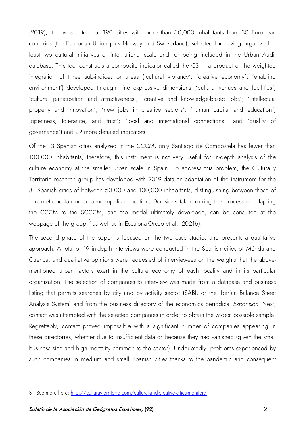(2019), it covers a total of 190 cities with more than 50,000 inhabitants from 30 European countries (the European Union plus Norway and Switzerland), selected for having organized at least two cultural initiatives of international scale and for being included in the Urban Audit database. This tool constructs a composite indicator called the  $C3 - a$  product of the weighted integration of three sub-indices or areas ('cultural vibrancy'; 'creative economy'; 'enabling environment') developed through nine expressive dimensions ('cultural venues and facilities'; 'cultural participation and attractiveness'; 'creative and knowledge-based jobs'; 'intellectual property and innovation'; 'new jobs in creative sectors'; 'human capital and education'; 'openness, tolerance, and trust'; 'local and international connections'; and 'quality of governance') and 29 more detailed indicators.

Of the 13 Spanish cities analyzed in the CCCM, only Santiago de Compostela has fewer than 100,000 inhabitants; therefore, this instrument is not very useful for in-depth analysis of the culture economy at the smaller urban scale in Spain. To address this problem, the Cultura y Territorio research group has developed with 2019 data an adaptation of the instrument for the 81 Spanish cities of between 50,000 and 100,000 inhabitants, distinguishing between those of intra-metropolitan or extra-metropolitan location. Decisions taken during the process of adapting the CCCM to the SCCCM, and the model ultimately developed, can be consulted at the webpage of the group, $^3$  $^3$  as well as in Escalona-Orcao et al. (2021b).

The second phase of the paper is focused on the two case studies and presents a qualitative approach. A total of 19 in-depth interviews were conducted in the Spanish cities of Mérida and Cuenca, and qualitative opinions were requested of interviewees on the weights that the abovementioned urban factors exert in the culture economy of each locality and in its particular organization. The selection of companies to interview was made from a database and business listing that permits searches by city and by activity sector (SABI, or the Iberian Balance Sheet Analysis System) and from the business directory of the economics periodical *Expansión*. Next, contact was attempted with the selected companies in order to obtain the widest possible sample. Regrettably, contact proved impossible with a significant number of companies appearing in these directories, whether due to insufficient data or because they had vanished (given the small business size and high mortality common to the sector). Undoubtedly, problems experienced by such companies in medium and small Spanish cities thanks to the pandemic and consequent

<span id="page-11-0"></span><sup>3</sup> See more here:<http://culturayterritorio.com/cultural-and-creative-cities-monitor/>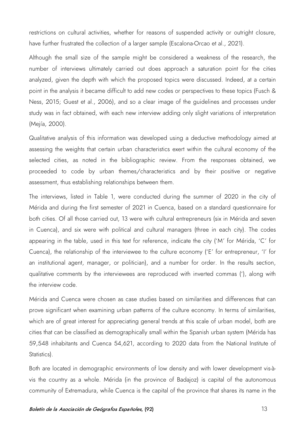restrictions on cultural activities, whether for reasons of suspended activity or outright closure, have further frustrated the collection of a larger sample (Escalona-Orcao et al., 2021).

Although the small size of the sample might be considered a weakness of the research, the number of interviews ultimately carried out does approach a saturation point for the cities analyzed, given the depth with which the proposed topics were discussed. Indeed, at a certain point in the analysis it became difficult to add new codes or perspectives to these topics (Fusch & Ness, 2015; Guest et al., 2006), and so a clear image of the guidelines and processes under study was in fact obtained, with each new interview adding only slight variations of interpretation (Mejía, 2000).

Qualitative analysis of this information was developed using a deductive methodology aimed at assessing the weights that certain urban characteristics exert within the cultural economy of the selected cities, as noted in the bibliographic review. From the responses obtained, we proceeded to code by urban themes/characteristics and by their positive or negative assessment, thus establishing relationships between them.

The interviews, listed in Table 1, were conducted during the summer of 2020 in the city of Mérida and during the first semester of 2021 in Cuenca, based on a standard questionnaire for both cities. Of all those carried out, 13 were with cultural entrepreneurs (six in Mérida and seven in Cuenca), and six were with political and cultural managers (three in each city). The codes appearing in the table, used in this text for reference, indicate the city ('M' for Mérida, 'C' for Cuenca), the relationship of the interviewee to the culture economy ('E' for entrepreneur, 'I' for an institutional agent, manager, or politician), and a number for order. In the results section, qualitative comments by the interviewees are reproduced with inverted commas ('), along with the interview code.

Mérida and Cuenca were chosen as case studies based on similarities and differences that can prove significant when examining urban patterns of the culture economy. In terms of similarities, which are of great interest for appreciating general trends at this scale of urban model, both are cities that can be classified as demographically small within the Spanish urban system (Mérida has 59,548 inhabitants and Cuenca 54,621, according to 2020 data from the National Institute of Statistics).

Both are located in demographic environments of low density and with lower development vis-àvis the country as a whole. Mérida (in the province of Badajoz) is capital of the autonomous community of Extremadura, while Cuenca is the capital of the province that shares its name in the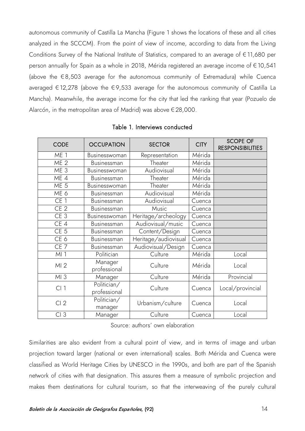autonomous community of Castilla La Mancha (Figure 1 shows the locations of these and all cities analyzed in the SCCCM). From the point of view of income, according to data from the Living Conditions Survey of the National Institute of Statistics, compared to an average of €11,680 per person annually for Spain as a whole in 2018, Mérida registered an average income of €10,541 (above the  $\epsilon$ 8,503 average for the autonomous community of Extremadura) while Cuenca averaged €12,278 (above the €9,533 average for the autonomous community of Castilla La Mancha). Meanwhile, the average income for the city that led the ranking that year (Pozuelo de Alarcón, in the metropolitan area of Madrid) was above €28,000.

| <b>CODE</b>     | <b>OCCUPATION</b>           | <b>SECTOR</b>        | <b>CITY</b> | <b>SCOPE OF</b><br><b>RESPONSIBILITIES</b> |
|-----------------|-----------------------------|----------------------|-------------|--------------------------------------------|
| ME <sub>1</sub> | Businesswoman               | Representation       | Mérida      |                                            |
| ME <sub>2</sub> | Businessman                 | Theater              | Mérida      |                                            |
| ME <sub>3</sub> | Businesswoman               | Audiovisual          | Mérida      |                                            |
| ME 4            | Businessman                 | Theater              | Mérida      |                                            |
| ME <sub>5</sub> | Businesswoman               | Theater              | Mérida      |                                            |
| ME 6            | Businessman                 | Audiovisual          | Mérida      |                                            |
| CE <sub>1</sub> | Businessman                 | Audiovisual          | Cuenca      |                                            |
| CE <sub>2</sub> | Businessman                 | Music                | Cuenca      |                                            |
| CE <sub>3</sub> | Businesswoman               | Heritage/archeology  | Cuenca      |                                            |
| CE 4            | Businessman                 | Audiovisual/music    | Cuenca      |                                            |
| CE <sub>5</sub> | Businessman                 | Content/Design       | Cuenca      |                                            |
| CE <sub>6</sub> | Businessman                 | Heritage/audiovisual | Cuenca      |                                            |
| CE <sub>7</sub> | <b>Businessman</b>          | Audiovisual/Design   | Cuenca      |                                            |
| MI              | Politician                  | Culture              | Mérida      | Local                                      |
| MI <sub>2</sub> | Manager<br>professional     | Culture              | Mérida      | Local                                      |
| $Ml$ 3          | Manager                     | Culture              | Mérida      | Provincial                                 |
| Cl <sub>1</sub> | Politician/<br>professional | Culture              | Cuenca      | Local/provincial                           |
| CI <sub>2</sub> | Politician/<br>manager      | Urbanism/culture     | Cuenca      | Local                                      |
| CI <sub>3</sub> | Manager                     | Culture              | Cuenca      | Local                                      |

Table 1. Interviews conducted

Source: authors' own elaboration

Similarities are also evident from a cultural point of view, and in terms of image and urban projection toward larger (national or even international) scales. Both Mérida and Cuenca were classified as World Heritage Cities by UNESCO in the 1990s, and both are part of the Spanish network of cities with that designation. This assures them a measure of symbolic projection and makes them destinations for cultural tourism, so that the interweaving of the purely cultural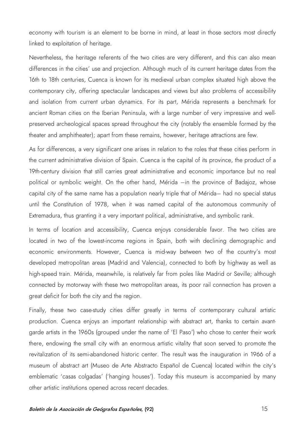economy with tourism is an element to be borne in mind, at least in those sectors most directly linked to exploitation of heritage.

Nevertheless, the heritage referents of the two cities are very different, and this can also mean differences in the cities' use and projection. Although much of its current heritage dates from the 16th to 18th centuries, Cuenca is known for its medieval urban complex situated high above the contemporary city, offering spectacular landscapes and views but also problems of accessibility and isolation from current urban dynamics. For its part, Mérida represents a benchmark for ancient Roman cities on the Iberian Peninsula, with a large number of very impressive and wellpreserved archeological spaces spread throughout the city (notably the ensemble formed by the theater and amphitheater); apart from these remains, however, heritage attractions are few.

As for differences, a very significant one arises in relation to the roles that these cities perform in the current administrative division of Spain. Cuenca is the capital of its province, the product of a 19th-century division that still carries great administrative and economic importance but no real political or symbolic weight. On the other hand, Mérida –in the province of Badajoz, whose capital city of the same name has a population nearly triple that of Mérida– had no special status until the Constitution of 1978, when it was named capital of the autonomous community of Extremadura, thus granting it a very important political, administrative, and symbolic rank.

In terms of location and accessibility, Cuenca enjoys considerable favor. The two cities are located in two of the lowest-income regions in Spain, both with declining demographic and economic environments. However, Cuenca is mid-way between two of the country's most developed metropolitan areas (Madrid and Valencia), connected to both by highway as well as high-speed train. Mérida, meanwhile, is relatively far from poles like Madrid or Seville; although connected by motorway with these two metropolitan areas, its poor rail connection has proven a great deficit for both the city and the region.

Finally, these two case-study cities differ greatly in terms of contemporary cultural artistic production. Cuenca enjoys an important relationship with abstract art, thanks to certain avantgarde artists in the 1960s (grouped under the name of 'El Paso') who chose to center their work there, endowing the small city with an enormous artistic vitality that soon served to promote the revitalization of its semi-abandoned historic center. The result was the inauguration in 1966 of a museum of abstract art (Museo de Arte Abstracto Español de Cuenca) located within the city's emblematic 'casas colgadas' ('hanging houses'). Today this museum is accompanied by many other artistic institutions opened across recent decades.

#### Boletín de la Asociación de Geógrafos Españoles, (92) 15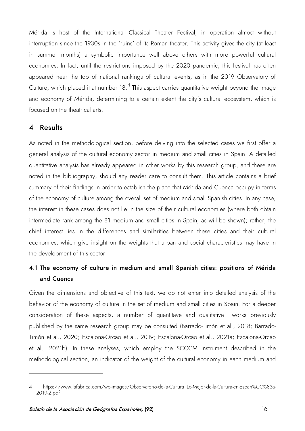Mérida is host of the International Classical Theater Festival, in operation almost without interruption since the 1930s in the 'ruins' of its Roman theater. This activity gives the city (at least in summer months) a symbolic importance well above others with more powerful cultural economies. In fact, until the restrictions imposed by the 2020 pandemic, this festival has often appeared near the top of national rankings of cultural events, as in the 2019 Observatory of Culture, which placed it at number  $18.^4$  $18.^4$  This aspect carries quantitative weight beyond the image and economy of Mérida, determining to a certain extent the city's cultural ecosystem, which is focused on the theatrical arts.

### 4 Results

As noted in the methodological section, before delving into the selected cases we first offer a general analysis of the cultural economy sector in medium and small cities in Spain. A detailed quantitative analysis has already appeared in other works by this research group, and these are noted in the bibliography, should any reader care to consult them. This article contains a brief summary of their findings in order to establish the place that Mérida and Cuenca occupy in terms of the economy of culture among the overall set of medium and small Spanish cities. In any case, the interest in these cases does not lie in the size of their cultural economies (where both obtain intermediate rank among the 81 medium and small cities in Spain, as will be shown); rather, the chief interest lies in the differences and similarities between these cities and their cultural economies, which give insight on the weights that urban and social characteristics may have in the development of this sector.

# 4.1 The economy of culture in medium and small Spanish cities: positions of Mérida and Cuenca

Given the dimensions and objective of this text, we do not enter into detailed analysis of the behavior of the economy of culture in the set of medium and small cities in Spain. For a deeper consideration of these aspects, a number of quantitave and qualitative works previously published by the same research group may be consulted (Barrado-Timón et al., 2018; Barrado-Timón et al., 2020; Escalona-Orcao et al., 2019; Escalona-Orcao et al., 2021a; Escalona-Orcao et al., 2021b). In these analyses, which employ the SCCCM instrument described in the methodological section, an indicator of the weight of the cultural economy in each medium and

<span id="page-15-0"></span><sup>4</sup> https://www.lafabrica.com/wp-images/Observatorio-de-la-Cultura Lo-Mejor-de-la-Cultura-en-Espan%CC%83a-[2019-2.pdf](https://www.lafabrica.com/wp-images/Observatorio-de-la-Cultura_Lo-Mejor-de-la-Cultura-en-Espan%CC%83a-2019-2.pdf)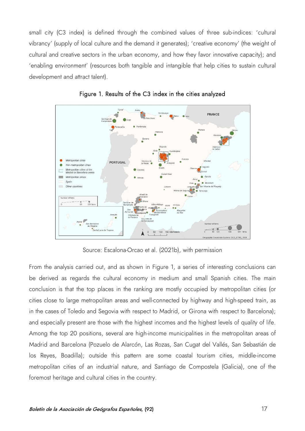small city (C3 index) is defined through the combined values of three sub-indices: 'cultural vibrancy' (supply of local culture and the demand it generates); 'creative economy' (the weight of cultural and creative sectors in the urban economy, and how they favor innovative capacity); and 'enabling environment' (resources both tangible and intangible that help cities to sustain cultural development and attract talent).





Source: Escalona-Orcao et al. (2021b), with permission

From the analysis carried out, and as shown in Figure 1, a series of interesting conclusions can be derived as regards the cultural economy in medium and small Spanish cities. The main conclusion is that the top places in the ranking are mostly occupied by metropolitan cities (or cities close to large metropolitan areas and well-connected by highway and high-speed train, as in the cases of Toledo and Segovia with respect to Madrid, or Girona with respect to Barcelona); and especially present are those with the highest incomes and the highest levels of quality of life. Among the top 20 positions, several are high-income municipalities in the metropolitan areas of Madrid and Barcelona (Pozuelo de Alarcón, Las Rozas, San Cugat del Vallés, San Sebastián de los Reyes, Boadilla); outside this pattern are some coastal tourism cities, middle-income metropolitan cities of an industrial nature, and Santiago de Compostela (Galicia), one of the foremost heritage and cultural cities in the country.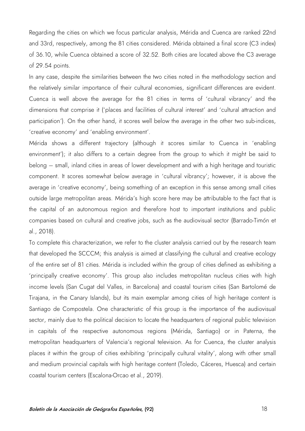Regarding the cities on which we focus particular analysis, Mérida and Cuenca are ranked 22nd and 33rd, respectively, among the 81 cities considered. Mérida obtained a final score (C3 index) of 36.10, while Cuenca obtained a score of 32.52. Both cities are located above the C3 average of 29.54 points.

In any case, despite the similarities between the two cities noted in the methodology section and the relatively similar importance of their cultural economies, significant differences are evident. Cuenca is well above the average for the 81 cities in terms of 'cultural vibrancy' and the dimensions that comprise it ('places and facilities of cultural interest' and 'cultural attraction and participation'). On the other hand, it scores well below the average in the other two sub-indices, 'creative economy' and 'enabling environment'.

Mérida shows a different trajectory (although it scores similar to Cuenca in 'enabling environment'); it also differs to a certain degree from the group to which it might be said to belong – small, inland cities in areas of lower development and with a high heritage and touristic component. It scores somewhat below average in 'cultural vibrancy'; however, it is above the average in 'creative economy', being something of an exception in this sense among small cities outside large metropolitan areas. Mérida's high score here may be attributable to the fact that is the capital of an autonomous region and therefore host to important institutions and public companies based on cultural and creative jobs, such as the audiovisual sector (Barrado-Timón et al., 2018).

To complete this characterization, we refer to the cluster analysis carried out by the research team that developed the SCCCM; this analysis is aimed at classifying the cultural and creative ecology of the entire set of 81 cities. Mérida is included within the group of cities defined as exhibiting a 'principally creative economy'. This group also includes metropolitan nucleus cities with high income levels (San Cugat del Valles, in Barcelona) and coastal tourism cities (San Bartolomé de Tirajana, in the Canary Islands), but its main exemplar among cities of high heritage content is Santiago de Compostela. One characteristic of this group is the importance of the audiovisual sector, mainly due to the political decision to locate the headquarters of regional public television in capitals of the respective autonomous regions (Mérida, Santiago) or in Paterna, the metropolitan headquarters of Valencia's regional television. As for Cuenca, the cluster analysis places it within the group of cities exhibiting 'principally cultural vitality', along with other small and medium provincial capitals with high heritage content (Toledo, Cáceres, Huesca) and certain coastal tourism centers (Escalona-Orcao et al., 2019).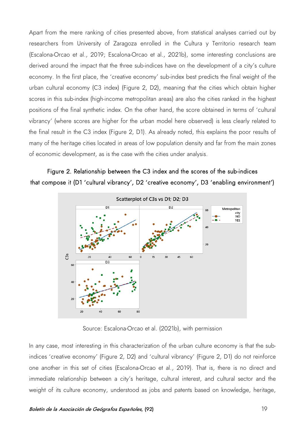Apart from the mere ranking of cities presented above, from statistical analyses carried out by researchers from University of Zaragoza enrolled in the Cultura y Territorio research team (Escalona-Orcao et al., 2019; Escalona-Orcao et al., 2021b), some interesting conclusions are derived around the impact that the three sub-indices have on the development of a city's culture economy. In the first place, the 'creative economy' sub-index best predicts the final weight of the urban cultural economy (C3 index) (Figure 2, D2), meaning that the cities which obtain higher scores in this sub-index (high-income metropolitan areas) are also the cities ranked in the highest positions of the final synthetic index. On the other hand, the score obtained in terms of 'cultural vibrancy' (where scores are higher for the urban model here observed) is less clearly related to the final result in the C3 index (Figure 2, D1). As already noted, this explains the poor results of many of the heritage cities located in areas of low population density and far from the main zones of economic development, as is the case with the cities under analysis.

## Figure 2. Relationship between the C3 index and the scores of the sub-indices that compose it (D1 'cultural vibrancy', D2 'creative economy', D3 'enabling environment')



Source: Escalona-Orcao et al. (2021b), with permission

In any case, most interesting in this characterization of the urban culture economy is that the subindices 'creative economy' (Figure 2, D2) and 'cultural vibrancy' (Figure 2, D1) do not reinforce one another in this set of cities (Escalona-Orcao et al., 2019). That is, there is no direct and immediate relationship between a city's heritage, cultural interest, and cultural sector and the weight of its culture economy, understood as jobs and patents based on knowledge, heritage,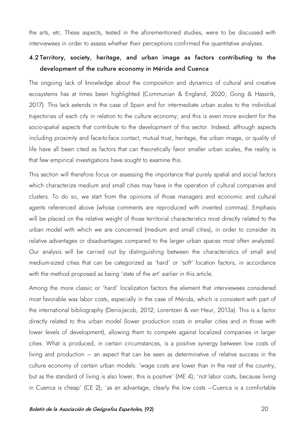the arts, etc. These aspects, tested in the aforementioned studies, were to be discussed with interviewees in order to assess whether their perceptions confirmed the quantitative analyses.

## 4.2 Territory, society, heritage, and urban image as factors contributing to the development of the culture economy in Mérida and Cuenca

The ongoing lack of knowledge about the composition and dynamics of cultural and creative ecosystems has at times been highlighted (Communian & England, 2020; Gong & Hassink, 2017). This lack extends in the case of Spain and for intermediate urban scales to the individual trajectories of each city in relation to the culture economy; and this is even more evident for the socio-spatial aspects that contribute to the development of this sector. Indeed, although aspects including proximity and face-to-face contact, mutual trust, heritage, the urban image, or quality of life have all been cited as factors that can theoretically favor smaller urban scales, the reality is that few empirical investigations have sought to examine this.

This section will therefore focus on assessing the importance that purely spatial and social factors which characterize medium and small cities may have in the operation of cultural companies and clusters. To do so, we start from the opinions of those managers and economic and cultural agents referenced above (whose comments are reproduced with inverted commas). Emphasis will be placed on the relative weight of those territorial characteristics most directly related to the urban model with which we are concerned (medium and small cities), in order to consider its relative advantages or disadvantages compared to the larger urban spaces most often analyzed. Our analysis will be carried out by distinguishing between the characteristics of small and medium-sized cities that can be categorized as 'hard' or 'soft' location factors, in accordance with the method proposed as being 'state of the art' earlier in this article.

Among the more classic or 'hard' localization factors the element that interviewees considered most favorable was labor costs, especially in the case of Mérida, which is consistent with part of the international bibliography (Denis-Jacob, 2012; Lorentzen & van Heur, 2013a). This is a factor directly related to this urban model (lower production costs in smaller cities and in those with lower levels of development), allowing them to compete against localized companies in larger cities. What is produced, in certain circumstances, is a positive synergy between low costs of living and production – an aspect that can be seen as determinative of relative success in the culture economy of certain urban models: 'wage costs are lower than in the rest of the country, but as the standard of living is also lower, this is positive' (ME 4); 'not labor costs, because living in Cuenca is cheap' (CE 2); 'as an advantage, clearly the low costs –Cuenca is a comfortable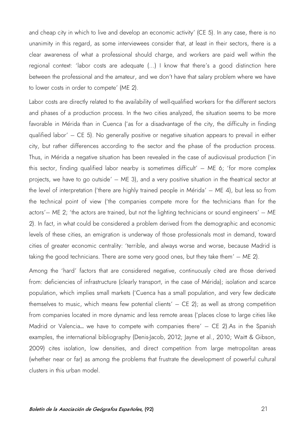and cheap city in which to live and develop an economic activity' (CE 5). In any case, there is no unanimity in this regard, as some interviewees consider that, at least in their sectors, there is a clear awareness of what a professional should charge, and workers are paid well within the regional context: 'labor costs are adequate (...) I know that there's a good distinction here between the professional and the amateur, and we don't have that salary problem where we have to lower costs in order to compete' (ME 2).

Labor costs are directly related to the availability of well-qualified workers for the different sectors and phases of a production process. In the two cities analyzed, the situation seems to be more favorable in Mérida than in Cuenca ('as for a disadvantage of the city, the difficulty in finding qualified labor' – CE 5). No generally positive or negative situation appears to prevail in either city, but rather differences according to the sector and the phase of the production process. Thus, in Mérida a negative situation has been revealed in the case of audiovisual production ('in this sector, finding qualified labor nearby is sometimes difficult'  $-$  ME 6; 'for more complex projects, we have to go outside' – ME 3), and a very positive situation in the theatrical sector at the level of interpretation ('there are highly trained people in Mérida' – ME 4), but less so from the technical point of view ('the companies compete more for the technicians than for the actors'– ME 2; 'the actors are trained, but not the lighting technicians or sound engineers' – ME 2). In fact, in what could be considered a problem derived from the demographic and economic levels of these cities, an emigration is underway of those professionals most in demand, toward cities of greater economic centrality: 'terrible, and always worse and worse, because Madrid is taking the good technicians. There are some very good ones, but they take them' – ME 2).

Among the 'hard' factors that are considered negative, continuously cited are those derived from: deficiencies of infrastructure (clearly transport, in the case of Mérida); isolation and scarce population, which implies small markets ('Cuenca has a small population, and very few dedicate themselves to music, which means few potential clients' – CE 2); as well as strong competition from companies located in more dynamic and less remote areas ('places close to large cities like Madrid or Valencia... we have to compete with companies there' - CE 2).As in the Spanish examples, the international bibliography (Denis-Jacob, 2012; Jayne et al., 2010; Waitt & Gibson, 2009) cites isolation, low densities, and direct competition from large metropolitan areas (whether near or far) as among the problems that frustrate the development of powerful cultural clusters in this urban model.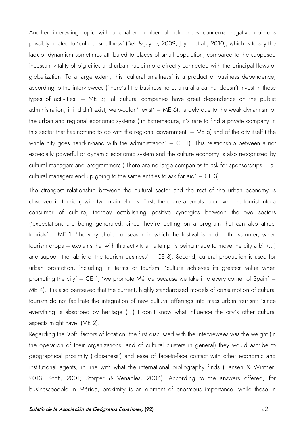Another interesting topic with a smaller number of references concerns negative opinions possibly related to 'cultural smallness' (Bell & Jayne, 2009; Jayne et al., 2010), which is to say the lack of dynamism sometimes attributed to places of small population, compared to the supposed incessant vitality of big cities and urban nuclei more directly connected with the principal flows of globalization. To a large extent, this 'cultural smallness' is a product of business dependence, according to the interviewees ('there's little business here, a rural area that doesn't invest in these types of activities' – ME 3; 'all cultural companies have great dependence on the public administration; if it didn't exist, we wouldn't exist' – ME 6), largely due to the weak dynamism of the urban and regional economic systems ('in Extremadura, it's rare to find a private company in this sector that has nothing to do with the regional government' – ME 6) and of the city itself ('the whole city goes hand-in-hand with the administration' – CE 1). This relationship between a not especially powerful or dynamic economic system and the culture economy is also recognized by cultural managers and programmers ('There are no large companies to ask for sponsorships – all cultural managers end up going to the same entities to ask for aid'  $-$  CE 3).

The strongest relationship between the cultural sector and the rest of the urban economy is observed in tourism, with two main effects. First, there are attempts to convert the tourist into a consumer of culture, thereby establishing positive synergies between the two sectors ('expectations are being generated, since they're betting on a program that can also attract tourists' – ME 1; 'the very choice of season in which the festival is held – the summer, when tourism drops – explains that with this activity an attempt is being made to move the city a bit (...) and support the fabric of the tourism business' – CE 3). Second, cultural production is used for urban promotion, including in terms of tourism ('culture achieves its greatest value when promoting the city' – CE 1; 'we promote Mérida because we take it to every corner of Spain' – ME 4). It is also perceived that the current, highly standardized models of consumption of cultural tourism do not facilitate the integration of new cultural offerings into mass urban tourism: 'since everything is absorbed by heritage (...) I don't know what influence the city's other cultural aspects might have' (ME 2).

Regarding the 'soft' factors of location, the first discussed with the interviewees was the weight (in the operation of their organizations, and of cultural clusters in general) they would ascribe to geographical proximity ('closeness') and ease of face-to-face contact with other economic and institutional agents, in line with what the international bibliography finds (Hansen & Winther, 2013; Scott, 2001; Storper & Venables, 2004). According to the answers offered, for businesspeople in Mérida, proximity is an element of enormous importance, while those in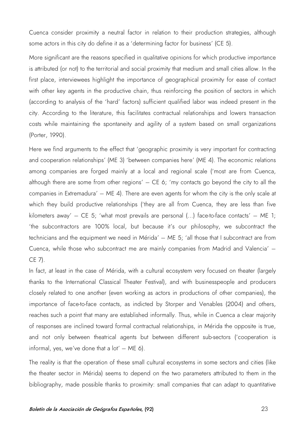Cuenca consider proximity a neutral factor in relation to their production strategies, although some actors in this city do define it as a 'determining factor for business' (CE 5).

More significant are the reasons specified in qualitative opinions for which productive importance is attributed (or not) to the territorial and social proximity that medium and small cities allow. In the first place, interviewees highlight the importance of geographical proximity for ease of contact with other key agents in the productive chain, thus reinforcing the position of sectors in which (according to analysis of the 'hard' factors) sufficient qualified labor was indeed present in the city. According to the literature, this facilitates contractual relationships and lowers transaction costs while maintaining the spontaneity and agility of a system based on small organizations (Porter, 1990).

Here we find arguments to the effect that 'geographic proximity is very important for contracting and cooperation relationships' (ME 3) 'between companies here' (ME 4). The economic relations among companies are forged mainly at a local and regional scale ('most are from Cuenca, although there are some from other regions'  $-$  CE 6; 'my contacts go beyond the city to all the companies in Extremadura' – ME 4). There are even agents for whom the city is the only scale at which they build productive relationships ('they are all from Cuenca, they are less than five kilometers away' – CE 5; 'what most prevails are personal  $(...)$  face-to-face contacts' – ME 1; 'the subcontractors are 100% local, but because it's our philosophy, we subcontract the technicians and the equipment we need in Mérida' – ME 5; 'all those that I subcontract are from Cuenca, while those who subcontract me are mainly companies from Madrid and Valencia' – CE 7).

In fact, at least in the case of Mérida, with a cultural ecosystem very focused on theater (largely thanks to the International Classical Theater Festival), and with businesspeople and producers closely related to one another (even working as actors in productions of other companies), the importance of face-to-face contacts, as indicted by Storper and Venables (2004) and others, reaches such a point that many are established informally. Thus, while in Cuenca a clear majority of responses are inclined toward formal contractual relationships, in Mérida the opposite is true, and not only between theatrical agents but between different sub-sectors ('cooperation is informal, yes, we've done that a  $\text{lot}' - \text{ME } 6$ ).

The reality is that the operation of these small cultural ecosystems in some sectors and cities (like the theater sector in Mérida) seems to depend on the two parameters attributed to them in the bibliography, made possible thanks to proximity: small companies that can adapt to quantitative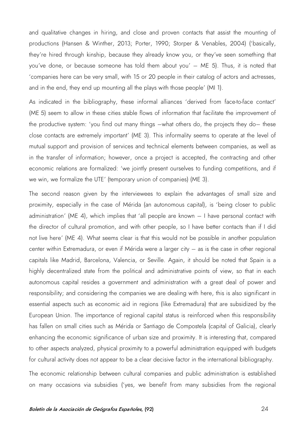and qualitative changes in hiring, and close and proven contacts that assist the mounting of productions (Hansen & Winther, 2013; Porter, 1990; Storper & Venables, 2004) ('basically, they're hired through kinship, because they already know you, or they've seen something that you've done, or because someone has told them about you' – ME 5). Thus, it is noted that 'companies here can be very small, with 15 or 20 people in their catalog of actors and actresses, and in the end, they end up mounting all the plays with those people' (MI 1).

As indicated in the bibliography, these informal alliances 'derived from face-to-face contact' (ME 5) seem to allow in these cities stable flows of information that facilitate the improvement of the productive system: 'you find out many things –what others do, the projects they do– these close contacts are extremely important' (ME 3). This informality seems to operate at the level of mutual support and provision of services and technical elements between companies, as well as in the transfer of information; however, once a project is accepted, the contracting and other economic relations are formalized: 'we jointly present ourselves to funding competitions, and if we win, we formalize the UTE' (temporary union of companies) (ME 3).

The second reason given by the interviewees to explain the advantages of small size and proximity, especially in the case of Mérida (an autonomous capital), is 'being closer to public administration' (ME 4), which implies that 'all people are known – I have personal contact with the director of cultural promotion, and with other people, so I have better contacts than if I did not live here' (ME 4). What seems clear is that this would not be possible in another population center within Extremadura, or even if Mérida were a larger city – as is the case in other regional capitals like Madrid, Barcelona, Valencia, or Seville. Again, it should be noted that Spain is a highly decentralized state from the political and administrative points of view, so that in each autonomous capital resides a government and administration with a great deal of power and responsibility; and considering the companies we are dealing with here, this is also significant in essential aspects such as economic aid in regions (like Extremadura) that are subsidized by the European Union. The importance of regional capital status is reinforced when this responsibility has fallen on small cities such as Mérida or Santiago de Compostela (capital of Galicia), clearly enhancing the economic significance of urban size and proximity. It is interesting that, compared to other aspects analyzed, physical proximity to a powerful administration equipped with budgets for cultural activity does not appear to be a clear decisive factor in the international bibliography.

The economic relationship between cultural companies and public administration is established on many occasions via subsidies ('yes, we benefit from many subsidies from the regional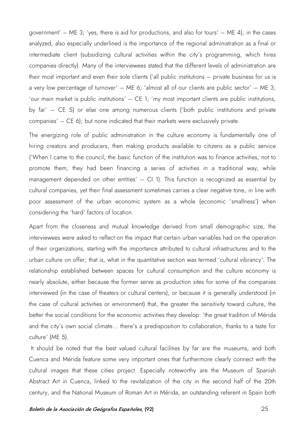government' – ME 3; 'yes, there is aid for productions, and also for tours' – ME 4); in the cases analyzed, also especially underlined is the importance of the regional administration as a final or intermediate client (subsidizing cultural activities within the city's programming, which hires companies directly). Many of the interviewees stated that the different levels of administration are their most important and even their sole clients ('all public institutions – private business for us is a very low percentage of turnover'  $-$  ME 6; 'almost all of our clients are public sector'  $-$  ME 3; 'our main market is public institutions' – CE 1; 'my most important clients are public institutions, by far' – CE 5) or else one among numerous clients ('both public institutions and private companies' – CE 6); but none indicated that their markets were exclusively private.

The energizing role of public administration in the culture economy is fundamentally one of hiring creators and producers, then making products available to citizens as a public service ('When I came to the council, the basic function of the institution was to finance activities, not to promote them; they had been financing a series of activities in a traditional way, while management depended on other entities' – CI 1). This function is recognized as essential by cultural companies, yet their final assessment sometimes carries a clear negative tone, in line with poor assessment of the urban economic system as a whole (economic 'smallness') when considering the 'hard' factors of location.

Apart from the closeness and mutual knowledge derived from small demographic size, the interviewees were asked to reflect on the impact that certain urban variables had on the operation of their organizations, starting with the importance attributed to cultural infrastructures and to the urban culture on offer; that is, what in the quantitative section was termed 'cultural vibrancy'. The relationship established between spaces for cultural consumption and the culture economy is nearly absolute, either because the former serve as production sites for some of the companies interviewed (in the case of theaters or cultural centers), or because it is generally understood (in the case of cultural activities or environment) that, the greater the sensitivity toward culture, the better the social conditions for the economic activities they develop: 'the great tradition of Mérida and the city's own social climate... there's a predisposition to collaboration, thanks to a taste for culture' (ME 5).

It should be noted that the best valued cultural facilities by far are the museums, and both Cuenca and Mérida feature some very important ones that furthermore clearly connect with the cultural images that these cities project. Especially noteworthy are the Museum of Spanish Abstract Art in Cuenca, linked to the revitalization of the city in the second half of the 20th century, and the National Museum of Roman Art in Mérida, an outstanding referent in Spain both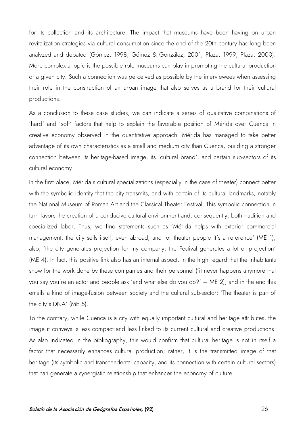for its collection and its architecture. The impact that museums have been having on urban revitalization strategies via cultural consumption since the end of the 20th century has long been analyzed and debated (Gómez, 1998; Gómez & González, 2001; Plaza, 1999; Plaza, 2000). More complex a topic is the possible role museums can play in promoting the cultural production of a given city. Such a connection was perceived as possible by the interviewees when assessing their role in the construction of an urban image that also serves as a brand for their cultural productions.

As a conclusion to these case studies, we can indicate a series of qualitative combinations of 'hard' and 'soft' factors that help to explain the favorable position of Mérida over Cuenca in creative economy observed in the quantitative approach. Mérida has managed to take better advantage of its own characteristics as a small and medium city than Cuenca, building a stronger connection between its heritage-based image, its 'cultural brand', and certain sub-sectors of its cultural economy.

In the first place, Mérida's cultural specializations (especially in the case of theater) connect better with the symbolic identity that the city transmits, and with certain of its cultural landmarks, notably the National Museum of Roman Art and the Classical Theater Festival. This symbolic connection in turn favors the creation of a conducive cultural environment and, consequently, both tradition and specialized labor. Thus, we find statements such as 'Mérida helps with exterior commercial management; the city sells itself, even abroad, and for theater people it's a reference' (ME 1); also, 'the city generates projection for my company; the Festival generates a lot of projection' (ME 4). In fact, this positive link also has an internal aspect, in the high regard that the inhabitants show for the work done by these companies and their personnel ('it never happens anymore that you say you're an actor and people ask 'and what else do you do?' – ME 2), and in the end this entails a kind of image-fusion between society and the cultural sub-sector: 'The theater is part of the city's DNA' (ME 5).

To the contrary, while Cuenca is a city with equally important cultural and heritage attributes, the image it conveys is less compact and less linked to its current cultural and creative productions. As also indicated in the bibliography, this would confirm that cultural heritage is not in itself a factor that necessarily enhances cultural production; rather, it is the transmitted image of that heritage (its symbolic and transcendental capacity, and its connection with certain cultural sectors) that can generate a synergistic relationship that enhances the economy of culture.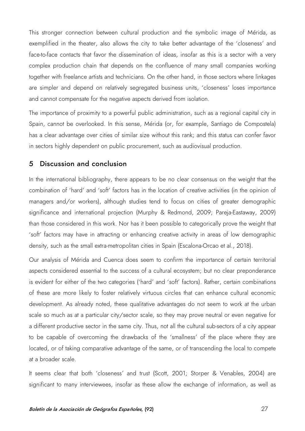This stronger connection between cultural production and the symbolic image of Mérida, as exemplified in the theater, also allows the city to take better advantage of the 'closeness' and face-to-face contacts that favor the dissemination of ideas, insofar as this is a sector with a very complex production chain that depends on the confluence of many small companies working together with freelance artists and technicians. On the other hand, in those sectors where linkages are simpler and depend on relatively segregated business units, 'closeness' loses importance and cannot compensate for the negative aspects derived from isolation.

The importance of proximity to a powerful public administration, such as a regional capital city in Spain, cannot be overlooked. In this sense, Mérida (or, for example, Santiago de Compostela) has a clear advantage over cities of similar size without this rank; and this status can confer favor in sectors highly dependent on public procurement, such as audiovisual production.

#### 5 Discussion and conclusion

In the international bibliography, there appears to be no clear consensus on the weight that the combination of 'hard' and 'soft' factors has in the location of creative activities (in the opinion of managers and/or workers), although studies tend to focus on cities of greater demographic significance and international projection (Murphy & Redmond, 2009; Pareja-Eastaway, 2009) than those considered in this work. Nor has it been possible to categorically prove the weight that 'soft' factors may have in attracting or enhancing creative activity in areas of low demographic density, such as the small extra-metropolitan cities in Spain (Escalona-Orcao et al., 2018).

Our analysis of Mérida and Cuenca does seem to confirm the importance of certain territorial aspects considered essential to the success of a cultural ecosystem; but no clear preponderance is evident for either of the two categories ('hard' and 'soft' factors). Rather, certain combinations of these are more likely to foster relatively virtuous circles that can enhance cultural economic development. As already noted, these qualitative advantages do not seem to work at the urban scale so much as at a particular city/sector scale, so they may prove neutral or even negative for a different productive sector in the same city. Thus, not all the cultural sub-sectors of a city appear to be capable of overcoming the drawbacks of the 'smallness' of the place where they are located, or of taking comparative advantage of the same, or of transcending the local to compete at a broader scale.

It seems clear that both 'closeness' and trust (Scott, 2001; Storper & Venables, 2004) are significant to many interviewees, insofar as these allow the exchange of information, as well as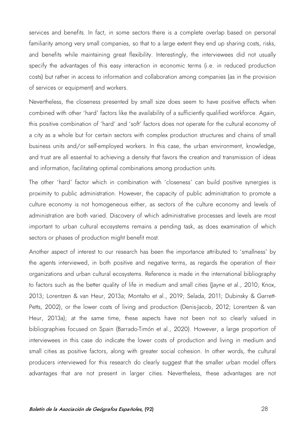services and benefits. In fact, in some sectors there is a complete overlap based on personal familiarity among very small companies, so that to a large extent they end up sharing costs, risks, and benefits while maintaining great flexibility. Interestingly, the interviewees did not usually specify the advantages of this easy interaction in economic terms (i.e. in reduced production costs) but rather in access to information and collaboration among companies (as in the provision of services or equipment) and workers.

Nevertheless, the closeness presented by small size does seem to have positive effects when combined with other 'hard' factors like the availability of a sufficiently qualified workforce. Again, this positive combination of 'hard' and 'soft' factors does not operate for the cultural economy of a city as a whole but for certain sectors with complex production structures and chains of small business units and/or self-employed workers. In this case, the urban environment, knowledge, and trust are all essential to achieving a density that favors the creation and transmission of ideas and information, facilitating optimal combinations among production units.

The other 'hard' factor which in combination with 'closeness' can build positive synergies is proximity to public administration. However, the capacity of public administration to promote a culture economy is not homogeneous either, as sectors of the culture economy and levels of administration are both varied. Discovery of which administrative processes and levels are most important to urban cultural ecosystems remains a pending task, as does examination of which sectors or phases of production might benefit most.

Another aspect of interest to our research has been the importance attributed to 'smallness' by the agents interviewed, in both positive and negative terms, as regards the operation of their organizations and urban cultural ecosystems. Reference is made in the international bibliography to factors such as the better quality of life in medium and small cities (layne et al., 2010; Knox, 2013; Lorentzen & van Heur, 2013a; Montalto et al., 2019; Selada, 2011; Dubinsky & Garrett-Petts, 2002), or the lower costs of living and production (Denis-Jacob, 2012; Lorentzen & van Heur, 2013a); at the same time, these aspects have not been not so clearly valued in bibliographies focused on Spain (Barrado-Timón et al., 2020). However, a large proportion of interviewees in this case do indicate the lower costs of production and living in medium and small cities as positive factors, along with greater social cohesion. In other words, the cultural producers interviewed for this research do clearly suggest that the smaller urban model offers advantages that are not present in larger cities. Nevertheless, these advantages are not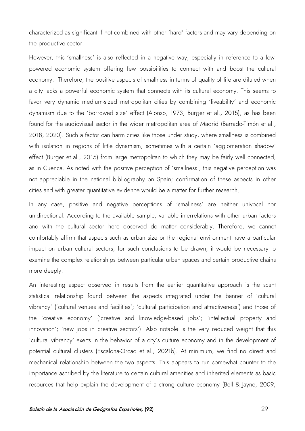characterized as significant if not combined with other 'hard' factors and may vary depending on the productive sector.

However, this 'smallness' is also reflected in a negative way, especially in reference to a lowpowered economic system offering few possibilities to connect with and boost the cultural economy. Therefore, the positive aspects of smallness in terms of quality of life are diluted when a city lacks a powerful economic system that connects with its cultural economy. This seems to favor very dynamic medium-sized metropolitan cities by combining 'liveability' and economic dynamism due to the 'borrowed size' effect (Alonso, 1973; Burger et al., 2015), as has been found for the audiovisual sector in the wider metropolitan area of Madrid (Barrado-Timón et al., 2018, 2020). Such a factor can harm cities like those under study, where smallness is combined with isolation in regions of little dynamism, sometimes with a certain 'agglomeration shadow' effect (Burger et al., 2015) from large metropolitan to which they may be fairly well connected, as in Cuenca. As noted with the positive perception of 'smallness', this negative perception was not appreciable in the national bibliography on Spain; confirmation of these aspects in other cities and with greater quantitative evidence would be a matter for further research.

In any case, positive and negative perceptions of 'smallness' are neither univocal nor unidirectional. According to the available sample, variable interrelations with other urban factors and with the cultural sector here observed do matter considerably. Therefore, we cannot comfortably affirm that aspects such as urban size or the regional environment have a particular impact on urban cultural sectors; for such conclusions to be drawn, it would be necessary to examine the complex relationships between particular urban spaces and certain productive chains more deeply.

An interesting aspect observed in results from the earlier quantitative approach is the scant statistical relationship found between the aspects integrated under the banner of 'cultural vibrancy' ('cultural venues and facilities'; 'cultural participation and attractiveness') and those of the 'creative economy' ('creative and knowledge-based jobs'; 'intellectual property and innovation'; 'new jobs in creative sectors'). Also notable is the very reduced weight that this 'cultural vibrancy' exerts in the behavior of a city's culture economy and in the development of potential cultural clusters (Escalona-Orcao et al., 2021b). At minimum, we find no direct and mechanical relationship between the two aspects. This appears to run somewhat counter to the importance ascribed by the literature to certain cultural amenities and inherited elements as basic resources that help explain the development of a strong culture economy (Bell & Jayne, 2009;

#### Boletín de la Asociación de Geógrafos Españoles, (92) 29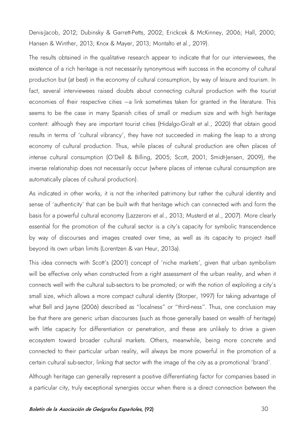Denis-Jacob, 2012; Dubinsky & Garrett-Petts, 2002; Erickcek & McKinney, 2006; Hall, 2000; Hansen & Winther, 2013; Knox & Mayer, 2013; Montalto et al., 2019).

The results obtained in the qualitative research appear to indicate that for our interviewees, the existence of a rich heritage is not necessarily synonymous with success in the economy of cultural production but (at best) in the economy of cultural consumption, by way of leisure and tourism. In fact, several interviewees raised doubts about connecting cultural production with the tourist economies of their respective cities –a link sometimes taken for granted in the literature. This seems to be the case in many Spanish cities of small or medium size and with high heritage content: although they are important tourist cities (Hidalgo-Giralt et al., 2020) that obtain good results in terms of 'cultural vibrancy', they have not succeeded in making the leap to a strong economy of cultural production. Thus, while places of cultural production are often places of intense cultural consumption (O'Dell & Billing, 2005; Scott, 2001; Smidt-Jensen, 2009), the inverse relationship does not necessarily occur (where places of intense cultural consumption are automatically places of cultural production).

As indicated in other works, it is not the inherited patrimony but rather the cultural identity and sense of 'authenticity' that can be built with that heritage which can connected with and form the basis for a powerful cultural economy (Lazzeroni et al., 2013; Musterd et al., 2007). More clearly essential for the promotion of the cultural sector is a city's capacity for symbolic transcendence by way of discourses and images created over time, as well as its capacity to project itself beyond its own urban limits (Lorentzen & van Heur, 2013a).

This idea connects with Scott's (2001) concept of 'niche markets', given that urban symbolism will be effective only when constructed from a right assessment of the urban reality, and when it connects well with the cultural sub-sectors to be promoted; or with the notion of exploiting a city's small size, which allows a more compact cultural identity (Storper, 1997) for taking advantage of what Bell and Jayne (2006) described as "localness" or "third-ness". Thus, one conclusion may be that there are generic urban discourses (such as those generally based on wealth of heritage) with little capacity for differentiation or penetration, and these are unlikely to drive a given ecosystem toward broader cultural markets. Others, meanwhile, being more concrete and connected to their particular urban reality, will always be more powerful in the promotion of a certain cultural sub-sector, linking that sector with the image of the city as a promotional 'brand'.

Although heritage can generally represent a positive differentiating factor for companies based in a particular city, truly exceptional synergies occur when there is a direct connection between the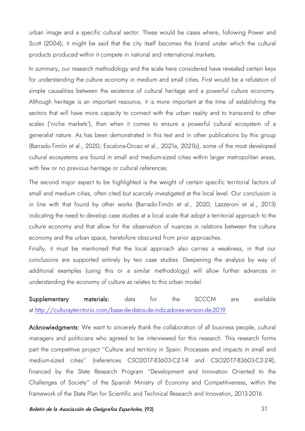urban image and a specific cultural sector. These would be cases where, following Power and Scott (2004), it might be said that the city itself becomes the brand under which the cultural products produced within it compete in national and international markets.

In summary, our research methodology and the scale here considered have revealed certain keys for understanding the culture economy in medium and small cities. First would be a refutation of simple causalities between the existence of cultural heritage and a powerful culture economy. Although heritage is an important resource, it is more important at the time of establishing the sectors that will have more capacity to connect with the urban reality and to transcend to other scales ('niche markets'), than when it comes to ensure a powerful cultural ecosystem of a generalist nature. As has been demonstrated in this text and in other publications by this group (Barrado-Timón et al., 2020; Escalona-Orcao et al., 2021a, 2021b), some of the most developed cultural ecosystems are found in small and medium-sized cities within larger metropolitan areas, with few or no previous heritage or cultural references.

The second major aspect to be highlighted is the weight of certain specific territorial factors of small and medium cities, often cited but scarcely investigated at the local level. Our conclusion is in line with that found by other works (Barrado-Timón et al., 2020; Lazzeroni et al., 2013) indicating the need to develop case studies at a local scale that adopt a territorial approach to the culture economy and that allow for the observation of nuances in relations between the culture economy and the urban space, heretofore obscured from prior approaches.

Finally, it must be mentioned that the local approach also carries a weakness, in that our conclusions are supported entirely by two case studies. Deepening the analysis by way of additional examples (using this or a similar methodology) will allow further advances in understanding the economy of culture as relates to this urban model.

Supplementary materials: data for the SCCCM are available at<http://culturayterritorio.com/base-de-datos-de-indicadores-version-de-2019>

Acknowledgments: We want to sincerely thank the collaboration of all business people, cultural managers and politicians who agreed to be interviewed for this research. This research forms part the competitive project "Culture and territory in Spain: Processes and impacts in small and medium-sized cities" (references CSO2017-83603-C2-1-R and CSO2017-83603-C2-2-R), financed by the State Research Program "Development and Innovation Oriented to the Challenges of Society" of the Spanish Ministry of Economy and Competitiveness, within the framework of the State Plan for Scientific and Technical Research and Innovation, 2013-2016.

Boletín de la Asociación de Geógrafos Españoles, (92) se a serior de la serior de 31 anos 31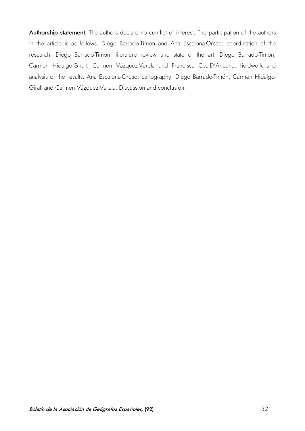Authorship statement: The authors declare no conflict of interest. The participation of the authors in the article is as follows. Diego Barrado-Timón and Ana Escalona-Orcao: coordination of the research. Diego Barrado-Timón: literature review and state of the art. Diego Barrado-Timón, Carmen Hidalgo-Giralt, Carmen Vázquez-Varela and Francisca Cea-D'Ancona: fieldwork and analysis of the results. Ana Escalona-Orcao: cartography. Diego Barrado-Timón, Carmen Hidalgo-Giralt and Carmen Vázquez-Varela: Discussion and conclusion.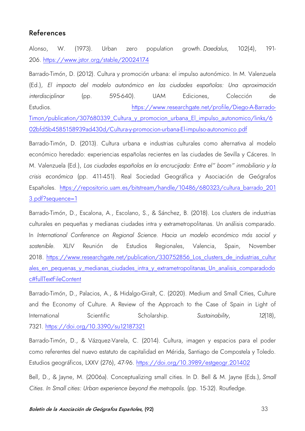## References

Alonso, W. (1973). Urban zero population growth. *Daedalus*, 102(4), 191- 206. <https://www.jstor.org/stable/20024174>

Barrado-Timón, D. (2012). Cultura y promoción urbana: el impulso autonómico. In M. Valenzuela (Ed.), *El impacto del modelo autonómico en las ciudades españolas: Una aproximación interdisciplinar* (pp. 595-640). UAM Ediciones, Colección de Estudios. [https://www.researchgate.net/profile/Diego-A-Barrado-](https://www.researchgate.net/profile/Diego-A-Barrado-Timon/publication/307680339_Cultura_y_promocion_urbana_El_impulso_autonomico/links/602bfd5b4585158939ad430d/Cultura-y-promocion-urbana-El-impulso-autonomico.pdf)[Timon/publication/307680339\\_Cultura\\_y\\_promocion\\_urbana\\_El\\_impulso\\_autonomico/links/6](https://www.researchgate.net/profile/Diego-A-Barrado-Timon/publication/307680339_Cultura_y_promocion_urbana_El_impulso_autonomico/links/602bfd5b4585158939ad430d/Cultura-y-promocion-urbana-El-impulso-autonomico.pdf) [02bfd5b4585158939ad430d/Cultura-y-promocion-urbana-El-impulso-autonomico.pdf](https://www.researchgate.net/profile/Diego-A-Barrado-Timon/publication/307680339_Cultura_y_promocion_urbana_El_impulso_autonomico/links/602bfd5b4585158939ad430d/Cultura-y-promocion-urbana-El-impulso-autonomico.pdf)

Barrado-Timón, D. (2013). Cultura urbana e industrias culturales como alternativa al modelo económico heredado: experiencias españolas recientes en las ciudades de Sevilla y Cáceres. In M. Valenzuela (Ed.), *Las ciudades españolas en la encrucijada: Entre el" boom" inmobiliario y la crisis económica* (pp. 411-451). Real Sociedad Geográfica y Asociación de Geógrafos Españoles. [https://repositorio.uam.es/bitstream/handle/10486/680323/cultura\\_barrado\\_201](https://repositorio.uam.es/bitstream/handle/10486/680323/cultura_barrado_2013.pdf?sequence=1) [3.pdf?sequence=1](https://repositorio.uam.es/bitstream/handle/10486/680323/cultura_barrado_2013.pdf?sequence=1)

Barrado-Timón, D., Escalona, A., Escolano, S., & Sánchez, B. (2018). Los clusters de industrias culturales en pequeñas y medianas ciudades intra y extrametropolitanas. Un análisis comparado. In *International Conference on Regional Science. Hacia un modelo económico más social y sostenible.* XLIV Reunión de Estudios Regionales, Valencia, Spain, November 2018. [https://www.researchgate.net/publication/330752856\\_Los\\_clusters\\_de\\_industrias\\_cultur](https://www.researchgate.net/publication/330752856_Los_clusters_de_industrias_culturales_en_pequenas_y_medianas_ciudades_intra_y_extrametropolitanas_Un_analisis_comparadodoc%23fullTextFileContent) ales en pequenas y medianas ciudades intra y extrametropolitanas Un analisis comparadodo [c#fullTextFileContent](https://www.researchgate.net/publication/330752856_Los_clusters_de_industrias_culturales_en_pequenas_y_medianas_ciudades_intra_y_extrametropolitanas_Un_analisis_comparadodoc%23fullTextFileContent)

Barrado-Timón, D., Palacios, A., & Hidalgo-Giralt, C. (2020). Medium and Small Cities, Culture and the Economy of Culture. A Review of the Approach to the Case of Spain in Light of International Scientific Scholarship. *Sustainability*, 12(18), 7321.<https://doi.org/10.3390/su12187321>

Barrado-Timón, D., & Vázquez-Varela, C. (2014). Cultura, imagen y espacios para el poder como referentes del nuevo estatuto de capitalidad en Mérida, Santiago de Compostela y Toledo. Estudios geográficos, LXXV (276), 47-96.<https://doi.org/10.3989/estgeogr.201402>

Bell, D., & Jayne, M. (2006a). Conceptualizing small cities. In D. Bell & M. Jayne (Eds.), *Small Cities. In Small cities: Urban experience beyond the metropolis*. (pp. 15-32). Routledge.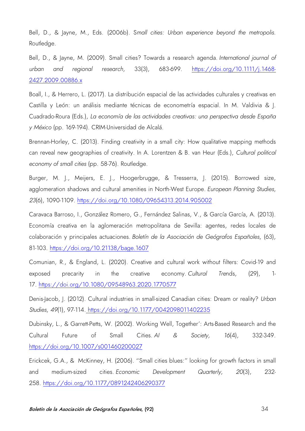Bell, D., & Jayne, M., Eds. (2006b). S*mall cities: Urban experience beyond the metropolis*. Routledge.

Bell, D., & Jayne, M. (2009). Small cities? Towards a research agenda. *International journal of urban and regional research*, 33(3), 683-699. [https://doi.org/10.1111/j.1468-](https://doi.org/10.1111/j.1468-2427.2009.00886.x) [2427.2009.00886.x](https://doi.org/10.1111/j.1468-2427.2009.00886.x)

Boall, I., & Herrero, L. (2017). La distribución espacial de las actividades culturales y creativas en Castilla y León: un análisis mediante técnicas de econometría espacial. In M. Valdivia & J. Cuadrado-Roura (Eds.), *La economía de las actividades creativas: una perspectiva desde España y México* (pp. 169-194). CRIM-Universidad de Alcalá.

Brennan-Horley, C. (2013). Finding creativity in a small city: How qualitative mapping methods can reveal new geographies of creativity. In A. Lorentzen & B. van Heur (Eds.), *Cultural political economy of small cities* (pp. 58-76). Routledge.

Burger, M. J., Meijers, E. J., Hoogerbrugge, & Tresserra, J. (2015). Borrowed size, agglomeration shadows and cultural amenities in North-West Europe. *European Planning Studies*, *23*(6), 1090-1109. <https://doi.org/10.1080/09654313.2014.905002>

Caravaca Barroso, I., González Romero, G., Fernández Salinas, V., & García García, A. (2013). Economía creativa en la aglomeración metropolitana de Sevilla: agentes, redes locales de colaboración y principales actuaciones. *Boletín de la Asociación de Geógrafos Españoles*, (63), 81-103. <https://doi.org/10.21138/bage.1607>

Comunian, R., & England, L. (2020). Creative and cultural work without filters: Covid-19 and exposed precarity in the creative economy. *Cultural Tre*nds, (29), 1- 17. <https://doi.org/10.1080/09548963.2020.1770577>

Denis-Jacob, J. (2012). Cultural industries in small-sized Canadian cities: Dream or reality? *Urban Studies*, *49*(1), 97-114. [https://doi.org/10.1177/0042098011402235](https://doi.org/10.1177%2F0042098011402235)

Dubinsky, L., & Garrett-Petts, W. (2002). Working Well, Together': Arts-Based Research and the Cultural Future of Small Cities. *AI & Society*, *16*(4), 332-349. https://doi.org/10.1007/s001460200027

Erickcek, G.A., & McKinney, H. (2006). "Small cities blues:" looking for growth factors in small and medium-sized cities. *Economic Development Quarterly*, *20*(3), 232- 258. [https://doi.org/10.1177/0891242406290377](https://doi.org/10.1177%2F0891242406290377)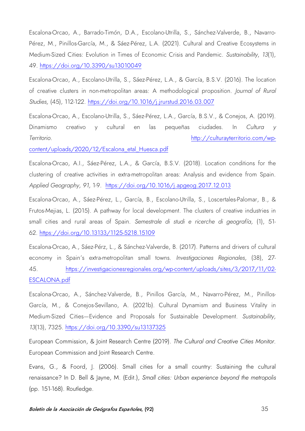Escalona-Orcao, A., Barrado-Timón, D.A., Escolano-Utrilla, S., Sánchez-Valverde, B., Navarro-Pérez, M., Pinillos-García, M., & Sáez-Pérez, L.A. (2021). Cultural and Creative Ecosystems in Medium-Sized Cities: Evolution in Times of Economic Crisis and Pandemic. *Sustainability*, *13*(1), 49.<https://doi.org/10.3390/su13010049>

Escalona-Orcao, A., Escolano-Utrilla, S., Sáez-Pérez, L.A., & García, B.S.V. (2016). The location of creative clusters in non-metropolitan areas: A methodological proposition. *Journal of Rural Studies,* (45), 112-122.<https://doi.org/10.1016/j.jrurstud.2016.03.007>

Escalona-Orcao, A., Escolano-Utrilla, S., Sáez-Pérez, L.A., García, B.S.V., & Conejos, A. (2019). Dinamismo creativo y cultural en las pequeñas ciudades. In *Cultura y Territorio*. [http://culturayterritorio.com/wp-](http://culturayterritorio.com/wp-content/uploads/2020/12/Escalona_etal_Huesca.pdf)

[content/uploads/2020/12/Escalona\\_etal\\_Huesca.pdf](http://culturayterritorio.com/wp-content/uploads/2020/12/Escalona_etal_Huesca.pdf)

Escalona-Orcao, A.I., Sáez-Pérez, L.A., & García, B.S.V. (2018). Location conditions for the clustering of creative activities in extra-metropolitan areas: Analysis and evidence from Spain. *Applied Geography, 91,* 1-9. <https://doi.org/10.1016/j.apgeog.2017.12.013>

Escalona-Orcao, A., Sáez-Pérez, L., García, B., Escolano-Utrilla, S., Loscertales-Palomar, B., & Frutos-Mejias, L. (2015). A pathway for local development. The clusters of creative industries in small cities and rural areas of Spain. *Semestrale di studi e ricerche di geografía,* (1), 51- 62.<https://doi.org/10.13133/1125-5218.15109>

Escalona-Orcao, A., Sáez-Pérz, L., & Sánchez-Valverde, B. (2017). Patterns and drivers of cultural economy in Spain's extra-metropolitan small towns. *Investigaciones Regionales,* (38), 27- 45. [https://investigacionesregionales.org/wp-content/uploads/sites/3/2017/11/02-](https://investigacionesregionales.org/wp-content/uploads/sites/3/2017/11/02-ESCALONA.pdf) [ESCALONA.pdf](https://investigacionesregionales.org/wp-content/uploads/sites/3/2017/11/02-ESCALONA.pdf)

Escalona-Orcao, A., Sánchez-Valverde, B., Pinillos García, M., Navarro-Pérez, M., Pinillos-García, M., & Conejos-Sevillano, A. (2021b). Cultural Dynamism and Business Vitality in Medium-Sized Cities—Evidence and Proposals for Sustainable Development. *Sustainability, 13*(13), 7325.<https://doi.org/10.3390/su13137325>

European Commission, & Joint Research Centre (2019). *The Cultural and Creative Cities Monitor*. European Commission and Joint Research Centre.

Evans, G., & Foord, J. (2006). Small cities for a small country: Sustaining the cultural renaissance? In D. Bell & Jayne, M. (Edit.), *Small cities: Urban experience beyond the metropolis* (pp. 151-168). Routledge.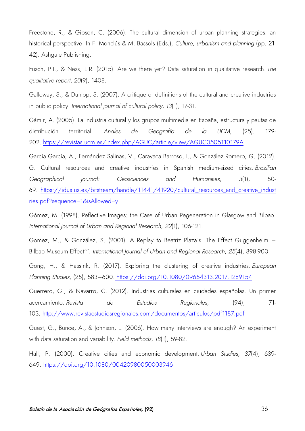Freestone, R., & Gibson, C. (2006). The cultural dimension of urban planning strategies: an historical perspective. In F. Monclús & M. Bassols (Eds.), *Culture, urbanism and planning* (pp. 21- 42). Ashgate Publishing.

Fusch, P.I., & Ness, L.R. (2015). Are we there yet? Data saturation in qualitative research. *The qualitative report*, *20*(9), 1408.

Galloway, S., & Dunlop, S. (2007). A critique of definitions of the cultural and creative industries in public policy. *International journal of cultural policy*, *13*(1), 17-31.

Gámir, A. (2005). La industria cultural y los grupos multimedia en España, estructura y pautas de distribución territorial. *Anales de Geografía de la UCM*, (25). 179- 202.<https://revistas.ucm.es/index.php/AGUC/article/view/AGUC0505110179A>

García García, A., Fernández Salinas, V., Caravaca Barroso, I., & González Romero, G. (2012). G. Cultural resources and creative industries in Spanish medium-sized cities. *Brazilian Geographical Journal: Geosciences and Humanities*, *3*(1), 50 69. [https://idus.us.es/bitstream/handle/11441/41920/cultural\\_resources\\_and\\_creative\\_indust](https://idus.us.es/bitstream/handle/11441/41920/cultural_resources_and_creative_industries.pdf?sequence=1&isAllowed=y) [ries.pdf?sequence=1&isAllowed=y](https://idus.us.es/bitstream/handle/11441/41920/cultural_resources_and_creative_industries.pdf?sequence=1&isAllowed=y)

Gómez, M. (1998). Reflective Images: the Case of Urban Regeneration in Glasgow and Bilbao. *International Journal of Urban and Regional Research*, *22*(1), 106-121.

Gomez, M., & González, S. (2001). A Replay to Beatriz Plaza's 'The Effect Guggenheim – Bilbao Museum Effect'". *International Journal of Urban and Regional Research*, *25*(4), 898-900.

Gong, H., & Hassink, R. (2017). Exploring the clustering of creative industries*. European Planning Studies,* (25), 583–600. <https://doi.org/10.1080/09654313.2017.1289154>

Guerrero, G., & Navarro, C. (2012). Industrias culturales en ciudades españolas. Un primer acercamiento. *Revista de Estudios Regionales*, (94), 71- 103. <http://www.revistaestudiosregionales.com/documentos/articulos/pdf1187.pdf>

Guest, G., Bunce, A., & Johnson, L. (2006). How many interviews are enough? An experiment with data saturation and variability. *Field methods*, *18*(1), 59-82.

Hall, P. (2000). Creative cities and economic development. *Urban Studies*, *37*(4), 639- 649. [https://doi.org/10.1080/00420980050003946](https://doi.org/10.1080%2F00420980050003946)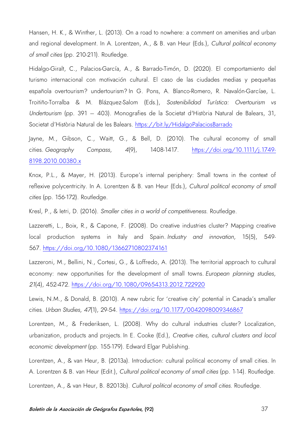Hansen, H. K., & Winther, L. (2013). On a road to nowhere: a comment on amenities and urban and regional development. In A. Lorentzen, A., & B. van Heur (Eds.), *Cultural political economy of small cities* (pp. 210-211). Routledge.

Hidalgo-Giralt, C., Palacios-García, A., & Barrado-Timón, D. (2020). El comportamiento del turismo internacional con motivación cultural. El caso de las ciudades medias y pequeñas española overtourism? undertourism? In G. Pons, A. Blanco-Romero, R. Navalón-Garcíae, L. Troitiño-Torralba & M. Blázquez-Salom (Eds.), *Sostenibilidad Turística: Overtourism vs Undertourism* (pp. 391 – 403)*.* Monografies de la Societat d'Història Natural de Balears, 31, Societat d'Història Natural de les Balears. <https://bit.ly/HidalgoPalaciosBarrado>

Jayne, M., Gibson, C., Waitt, G., & Bell, D. (2010). The cultural economy of small cities. *Geography Compass*, *4*(9), 1408-1417. [https://doi.org/10.1111/j.1749-](https://doi.org/10.1111/j.1749-8198.2010.00380.x) [8198.2010.00380.x](https://doi.org/10.1111/j.1749-8198.2010.00380.x)

Knox, P.L., & Mayer, H. (2013). Europe's internal periphery: Small towns in the context of reflexive polycentricity. In A. Lorentzen & B. van Heur (Eds.), *Cultural political economy of small cities* (pp. 156-172). Routledge.

Kresl, P., & Ietri, D. (2016). *Smaller cities in a world of competitiveness*. Routledge.

Lazzeretti, L., Boix, R., & Capone, F. (2008). Do creative industries cluster? Mapping creative local production systems in Italy and Spain. *Industry and innovation*, 15(5), 549- 567. <https://doi.org/10.1080/13662710802374161>

Lazzeroni, M., Bellini, N., Cortesi, G., & Loffredo, A. (2013). The territorial approach to cultural economy: new opportunities for the development of small towns. *European planning studies*, *21*(4), 452-472. <https://doi.org/10.1080/09654313.2012.722920>

Lewis, N.M., & Donald, B. (2010). A new rubric for 'creative city' potential in Canada's smaller cities. *Urban Studies*, *47*(1), 29-54. [https://doi.org/10.1177/0042098009346867](https://doi.org/10.1177%2F0042098009346867)

Lorentzen, M., & Frederiksen, L. (2008). Why do cultural industries cluster? Localization, urbanization, products and projects. In E. Cooke (Ed.), *Creative cities, cultural clusters and local economic development* (pp. 155-179). Edward Elgar Publishing.

Lorentzen, A., & van Heur, B. (2013a). Introduction: cultural political economy of small cities. In A. Lorentzen & B. van Heur (Edit.), *Cultural political economy of small cities* (pp. 1-14). Routledge.

Lorentzen, A., & van Heur, B. 82013b). *Cultural political economy of small cities*. Routledge.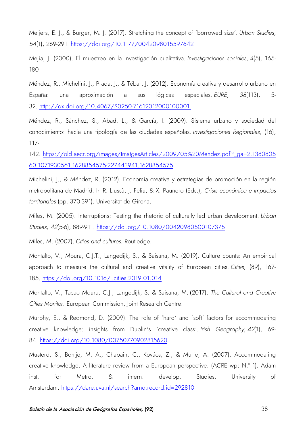Meijers, E. J., & Burger, M. J. (2017). Stretching the concept of 'borrowed size'. *Urban Studies*, *54*(1), 269-291. [https://doi.org/10.1177/0042098015597642](https://doi.org/10.1177%2F0042098015597642)

Mejía, J. (2000). El muestreo en la investigación cualitativa. *Investigaciones sociales*, *4*(5), 165- 180

Méndez, R., Michelini, J., Prada, J., & Tébar, J. (2012). Economía creativa y desarrollo urbano en España: una aproximación a sus lógicas espaciales. *EURE*, *38*(113), 5- 32. http://dx.doi.org/10.4067/S0250-71612012000100001

Méndez, R., Sánchez, S., Abad. L., & García, I. (2009). Sistema urbano y sociedad del conocimiento: hacia una tipología de las ciudades españolas. *Investigaciones Regionales*, (16), 117-

142. [https://old.aecr.org/images/ImatgesArticles/2009/05%20Mendez.pdf?\\_ga=2.1380805](https://old.aecr.org/images/ImatgesArticles/2009/05%20Mendez.pdf?_ga=2.138080560.1071930561.1628854575-227443941.1628854575) [60.1071930561.1628854575-227443941.1628854575](https://old.aecr.org/images/ImatgesArticles/2009/05%20Mendez.pdf?_ga=2.138080560.1071930561.1628854575-227443941.1628854575)

Michelini, J., & Méndez, R. (2012). Economía creativa y estrategias de promoción en la región metropolitana de Madrid. In R. Llussà, J. Feliu, & X. Paunero (Eds.), *Crisis económica e impactos territoriales* (pp. 370-391). Universitat de Girona.

Miles, M. (2005). Interruptions: Testing the rhetoric of culturally led urban development. *Urban Studies*, *42*(5-6), 889-911. [https://doi.org/10.1080/00420980500107375](https://doi.org/10.1080%2F00420980500107375)

Miles, M. (2007). *Cities and cultures*. Routledge.

Montalto, V., Moura, C.J.T., Langedijk, S., & Saisana, M. (2019). Culture counts: An empirical approach to measure the cultural and creative vitality of European cities. *Cities*, (89), 167- 185. <https://doi.org/10.1016/j.cities.2019.01.014>

Montalto, V., Tacao Moura, C.J., Langedijk, S. & Saisana, M. (2017). *The Cultural and Creative Cities Monitor*. European Commission, Joint Research Centre.

Murphy, E., & Redmond, D. (2009). The role of 'hard' and 'soft' factors for accommodating creative knowledge: insights from Dublin's 'creative class'. *Irish Geography*, *42*(1), 69- 84. https:/[/doi.org/10.1080/00750770902815620](https://doi.org/10.1080/00750770902815620)

Musterd, S., Bontje, M. A., Chapain, C., Kovács, Z., & Murie, A. (2007). Accommodating creative knowledge. A literature review from a European perspective. (ACRE wp; N.º 1). Adam inst. for Metro. & intern. develop. Studies, University of Amsterdam.<https://dare.uva.nl/search?arno.record.id=292810>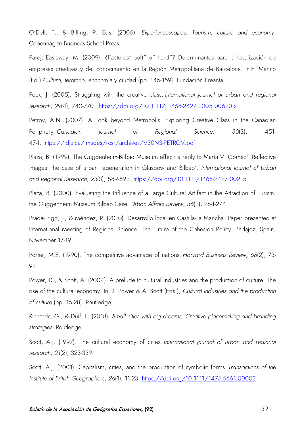O'Dell, T., & Billing, P. Eds. (2005). *Experiencescapes: Tourism, culture and economy*. Copenhagen Business School Press.

Pareja-Eastaway, M. (2009). ¿Factores" soft" o" hard"? Determinantes para la localización de empresas creativas y del conocimiento en la Región Metropolitana de Barcelona. In F. Manito (Ed.) *Cultura, territorio, econo*mía y ciudad (pp. 145-159). Fundación Kreanta.

Peck, J. (2005). Struggling with the creative class. *International journal of urban and regional research*, *29*(4), 740-770. <https://doi.org/10.1111/j.1468-2427.2005.00620.x>

Petrov, A.N. (2007). A Look beyond Metropolis: Exploring Creative Class in the Canadian Periphery. *Canadian Journal of Regional Science*, *30*(3), 451- 474. <https://idjs.ca/images/rcsr/archives/V30N3-PETROV.pdf>

Plaza, B. (1999). The Guggenheim-Bilbao Museum effect: a reply to María V. Gómez' 'Reflective images: the case of urban regeneration in Glasgow and Bilbao'. *International Journal of Urban and Regional Research*, *23*(3), 589-592. <https://doi.org/10.1111/1468-2427.00215>

Plaza, B. (2000). Evaluating the Influence of a Large Cultural Artifact in the Attraction of Turism. the Guggenheim Museum Bilbao Case. *Urban Affairs Review*, *36*(2), 264-274.

Prada-Trigo, J., & Méndez, R. (2010). Desarrollo local en Castilla-La Mancha. Paper presented at International Meeting of Regional Science. The Future of the Cohesion Policy. Badajoz, Spain, November 17-19.

Porter, M.E. (1990). The competitive advantage of nations. *Harvard Business Review, 68*(2), 73- 93.

Power, D., & Scott, A. (2004). A prelude to cultural industries and the production of culture: The rise of the cultural economy. In D. Power & A. Scott (Eds.), *Cultural industries and the production of culture* (pp. 15-28). Routledge.

Richards, G., & Duif, L. (2018). *Small cities with big dreams: Creative placemaking and branding strategies*. Routledge.

Scott, A.J. (1997). The cultural economy of cities. *International journal of urban and regional research, 21*(2), 323-339.

Scott, A.J. (2001). Capitalism, cities, and the production of symbolic forms. *Transactions of the Institute of British Geographers*, *26*(1), 11-23.<https://doi.org/10.1111/1475-5661.00003>